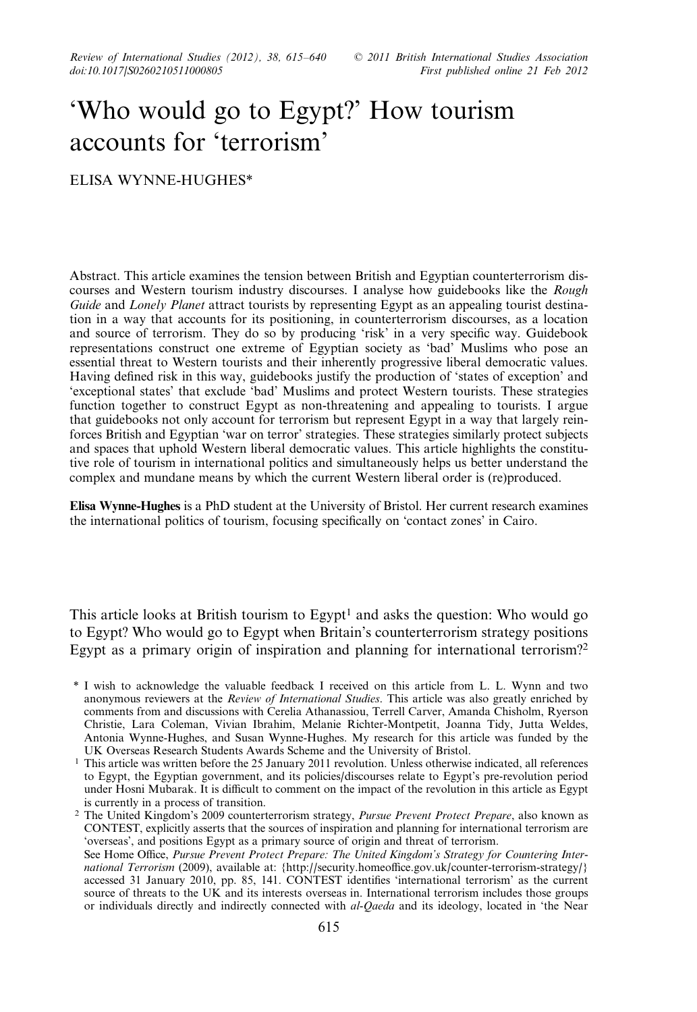Review of International Studies (2012), 38, 615–640 © 2011 British International Studies Association<br>doi:10.1017|S0260210511000805 First published online 21 Feb 2012

# 'Who would go to Egypt?' How tourism accounts for 'terrorism'

ELISA WYNNE-HUGHES\*

Abstract. This article examines the tension between British and Egyptian counterterrorism discourses and Western tourism industry discourses. I analyse how guidebooks like the Rough Guide and Lonely Planet attract tourists by representing Egypt as an appealing tourist destination in a way that accounts for its positioning, in counterterrorism discourses, as a location and source of terrorism. They do so by producing 'risk' in a very specific way. Guidebook representations construct one extreme of Egyptian society as 'bad' Muslims who pose an essential threat to Western tourists and their inherently progressive liberal democratic values. Having defined risk in this way, guidebooks justify the production of 'states of exception' and 'exceptional states' that exclude 'bad' Muslims and protect Western tourists. These strategies function together to construct Egypt as non-threatening and appealing to tourists. I argue that guidebooks not only account for terrorism but represent Egypt in a way that largely reinforces British and Egyptian 'war on terror' strategies. These strategies similarly protect subjects and spaces that uphold Western liberal democratic values. This article highlights the constitutive role of tourism in international politics and simultaneously helps us better understand the complex and mundane means by which the current Western liberal order is (re)produced.

Elisa Wynne-Hughes is a PhD student at the University of Bristol. Her current research examines the international politics of tourism, focusing specifically on 'contact zones' in Cairo.

This article looks at British tourism to Egypt<sup>1</sup> and asks the question: Who would go to Egypt? Who would go to Egypt when Britain's counterterrorism strategy positions Egypt as a primary origin of inspiration and planning for international terrorism?<sup>2</sup>

<sup>2</sup> The United Kingdom's 2009 counterterrorism strategy, Pursue Prevent Protect Prepare, also known as CONTEST, explicitly asserts that the sources of inspiration and planning for international terrorism are 'overseas', and positions Egypt as a primary source of origin and threat of terrorism. See Home Office, Pursue Prevent Protect Prepare: The United Kingdom's Strategy for Countering Inter-national Terrorism (2009), available at: [{http://security.homeoffice.gov.uk/counter-terrorism-strategy/](http://security.homeoffice.gov.uk/counter-terrorism-strategy/)} accessed 31 January 2010, pp. 85, 141. CONTEST identifies 'international terrorism' as the current source of threats to the UK and its interests overseas in. International terrorism includes those groups or individuals directly and indirectly connected with al-Qaeda and its ideology, located in 'the Near

<sup>\*</sup> I wish to acknowledge the valuable feedback I received on this article from L. L. Wynn and two anonymous reviewers at the Review of International Studies. This article was also greatly enriched by comments from and discussions with Cerelia Athanassiou, Terrell Carver, Amanda Chisholm, Ryerson Christie, Lara Coleman, Vivian Ibrahim, Melanie Richter-Montpetit, Joanna Tidy, Jutta Weldes, Antonia Wynne-Hughes, and Susan Wynne-Hughes. My research for this article was funded by the UK Overseas Research Students Awards Scheme and the University of Bristol.

<sup>&</sup>lt;sup>1</sup> This article was written before the 25 January 2011 revolution. Unless otherwise indicated, all references to Egypt, the Egyptian government, and its policies/discourses relate to Egypt's pre-revolution period under Hosni Mubarak. It is difficult to comment on the impact of the revolution in this article as Egypt is currently in a process of transition.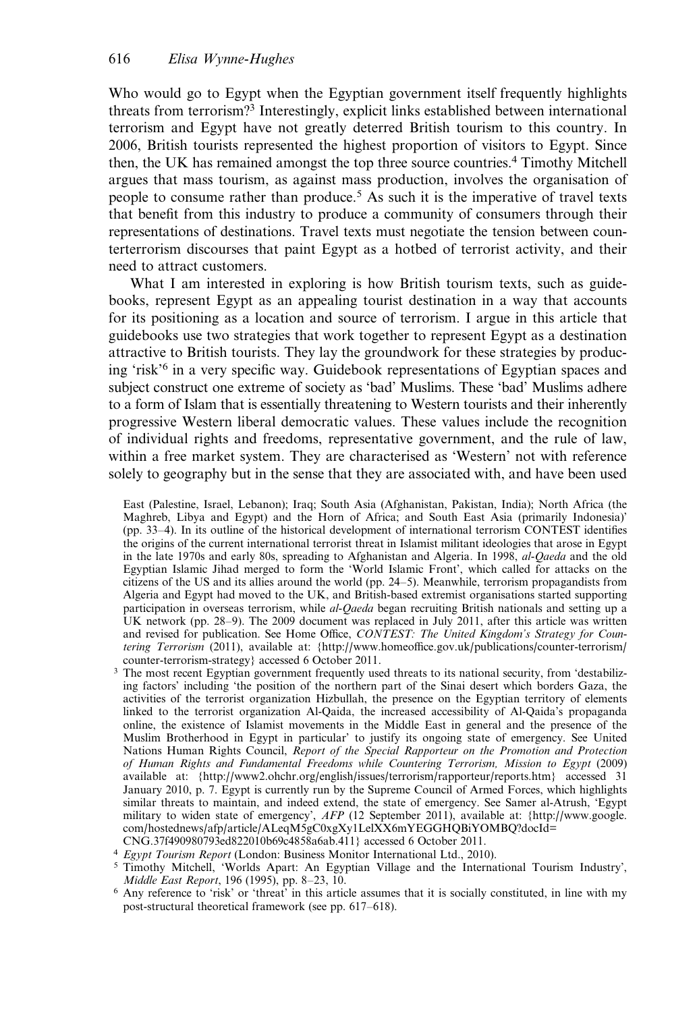Who would go to Egypt when the Egyptian government itself frequently highlights threats from terrorism?<sup>3</sup> Interestingly, explicit links established between international terrorism and Egypt have not greatly deterred British tourism to this country. In 2006, British tourists represented the highest proportion of visitors to Egypt. Since then, the UK has remained amongst the top three source countries.4 Timothy Mitchell argues that mass tourism, as against mass production, involves the organisation of people to consume rather than produce.5 As such it is the imperative of travel texts that benefit from this industry to produce a community of consumers through their representations of destinations. Travel texts must negotiate the tension between counterterrorism discourses that paint Egypt as a hotbed of terrorist activity, and their need to attract customers.

What I am interested in exploring is how British tourism texts, such as guidebooks, represent Egypt as an appealing tourist destination in a way that accounts for its positioning as a location and source of terrorism. I argue in this article that guidebooks use two strategies that work together to represent Egypt as a destination attractive to British tourists. They lay the groundwork for these strategies by producing 'risk'<sup>6</sup> in a very specific way. Guidebook representations of Egyptian spaces and subject construct one extreme of society as 'bad' Muslims. These 'bad' Muslims adhere to a form of Islam that is essentially threatening to Western tourists and their inherently progressive Western liberal democratic values. These values include the recognition of individual rights and freedoms, representative government, and the rule of law, within a free market system. They are characterised as 'Western' not with reference solely to geography but in the sense that they are associated with, and have been used

East (Palestine, Israel, Lebanon); Iraq; South Asia (Afghanistan, Pakistan, India); North Africa (the Maghreb, Libya and Egypt) and the Horn of Africa; and South East Asia (primarily Indonesia)' (pp. 33–4). In its outline of the historical development of international terrorism CONTEST identifies the origins of the current international terrorist threat in Islamist militant ideologies that arose in Egypt in the late 1970s and early 80s, spreading to Afghanistan and Algeria. In 1998, al-Qaeda and the old Egyptian Islamic Jihad merged to form the 'World Islamic Front', which called for attacks on the citizens of the US and its allies around the world (pp. 24–5). Meanwhile, terrorism propagandists from Algeria and Egypt had moved to the UK, and British-based extremist organisations started supporting participation in overseas terrorism, while al-Qaeda began recruiting British nationals and setting up a UK network (pp. 28–9). The 2009 document was replaced in July 2011, after this article was written and revised for publication. See Home Office, CONTEST: The United Kingdom's Strategy for Countering Terrorism (2011), available at: {[http://www.homeoffice.gov.uk/publications/counter-terrorism/](http://www.homeoffice.gov.uk/publications/counter-terrorism/counter-terrorism-strategy) [counter-terrorism-strategy](http://www.homeoffice.gov.uk/publications/counter-terrorism/counter-terrorism-strategy)} accessed 6 October 2011.

- <sup>3</sup> The most recent Egyptian government frequently used threats to its national security, from 'destabilizing factors' including 'the position of the northern part of the Sinai desert which borders Gaza, the activities of the terrorist organization Hizbullah, the presence on the Egyptian territory of elements linked to the terrorist organization Al-Qaida, the increased accessibility of Al-Qaida's propaganda online, the existence of Islamist movements in the Middle East in general and the presence of the Muslim Brotherhood in Egypt in particular' to justify its ongoing state of emergency. See United Nations Human Rights Council, Report of the Special Rapporteur on the Promotion and Protection of Human Rights and Fundamental Freedoms while Countering Terrorism, Mission to Egypt (2009) available at: [{http://www2.ohchr.org/english/issues/terrorism/rapporteur/reports.htm](http://www2.ohchr.org/english/issues/terrorism/rapporteur/reports.htm)} accessed 31 January 2010, p. 7. Egypt is currently run by the Supreme Council of Armed Forces, which highlights similar threats to maintain, and indeed extend, the state of emergency. See Samer al-Atrush, 'Egypt military to widen state of emergency', AFP (12 September 2011), available at: [{http://www.google.](http://www.google.com/hostednews/afp/article/ALeqM5gC0xgXy1LelXX6mYEGGHQBiYOMBQ?docId=CNG.37f490980793ed822010b69c4858a6ab.411) [com/hostednews/afp/article/ALeqM5gC0xgXy1LelXX6mYEGGHQBiYOMBQ?docId=](http://www.google.com/hostednews/afp/article/ALeqM5gC0xgXy1LelXX6mYEGGHQBiYOMBQ?docId=CNG.37f490980793ed822010b69c4858a6ab.411) [CNG.37f490980793ed822010b69c4858a6ab.411}](http://www.google.com/hostednews/afp/article/ALeqM5gC0xgXy1LelXX6mYEGGHQBiYOMBQ?docId=CNG.37f490980793ed822010b69c4858a6ab.411) accessed 6 October 2011.
- <sup>4</sup> Egypt Tourism Report (London: Business Monitor International Ltd., 2010).
- <sup>5</sup> Timothy Mitchell, 'Worlds Apart: An Egyptian Village and the International Tourism Industry', Middle East Report, 196 (1995), pp. 8–23, 10.
- <sup>6</sup> Any reference to 'risk' or 'threat' in this article assumes that it is socially constituted, in line with my post-structural theoretical framework (see pp. 617–618).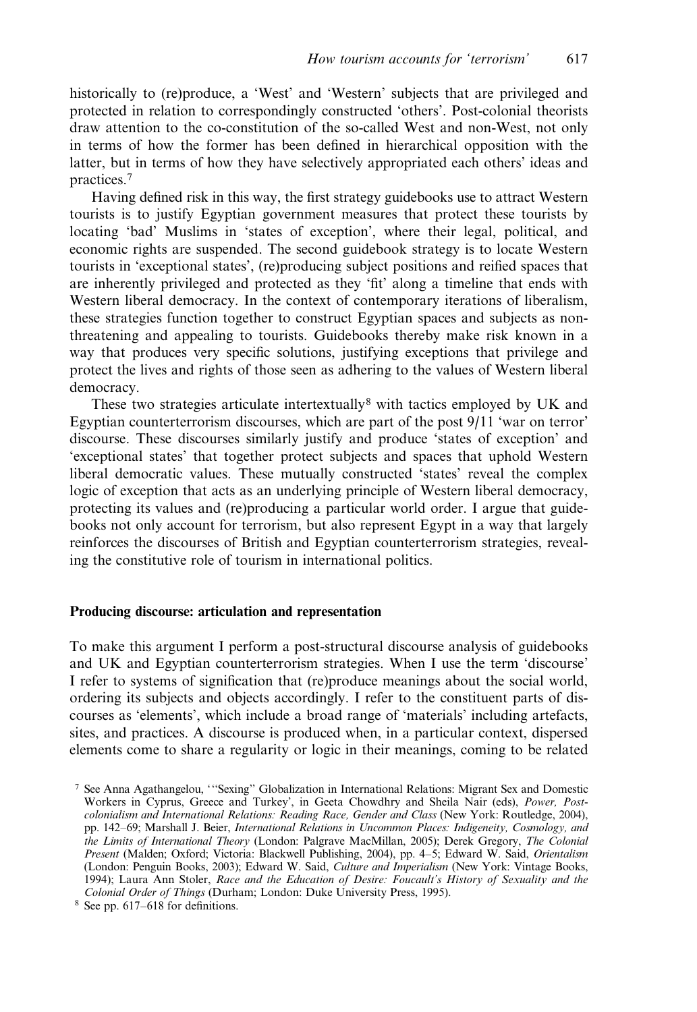historically to (re)produce, a 'West' and 'Western' subjects that are privileged and protected in relation to correspondingly constructed 'others'. Post-colonial theorists draw attention to the co-constitution of the so-called West and non-West, not only in terms of how the former has been defined in hierarchical opposition with the latter, but in terms of how they have selectively appropriated each others' ideas and practices.<sup>7</sup>

Having defined risk in this way, the first strategy guidebooks use to attract Western tourists is to justify Egyptian government measures that protect these tourists by locating 'bad' Muslims in 'states of exception', where their legal, political, and economic rights are suspended. The second guidebook strategy is to locate Western tourists in 'exceptional states', (re)producing subject positions and reified spaces that are inherently privileged and protected as they 'fit' along a timeline that ends with Western liberal democracy. In the context of contemporary iterations of liberalism, these strategies function together to construct Egyptian spaces and subjects as nonthreatening and appealing to tourists. Guidebooks thereby make risk known in a way that produces very specific solutions, justifying exceptions that privilege and protect the lives and rights of those seen as adhering to the values of Western liberal democracy.

These two strategies articulate intertextually<sup>8</sup> with tactics employed by UK and Egyptian counterterrorism discourses, which are part of the post 9/11 'war on terror' discourse. These discourses similarly justify and produce 'states of exception' and 'exceptional states' that together protect subjects and spaces that uphold Western liberal democratic values. These mutually constructed 'states' reveal the complex logic of exception that acts as an underlying principle of Western liberal democracy, protecting its values and (re)producing a particular world order. I argue that guidebooks not only account for terrorism, but also represent Egypt in a way that largely reinforces the discourses of British and Egyptian counterterrorism strategies, revealing the constitutive role of tourism in international politics.

## Producing discourse: articulation and representation

To make this argument I perform a post-structural discourse analysis of guidebooks and UK and Egyptian counterterrorism strategies. When I use the term 'discourse' I refer to systems of signification that (re)produce meanings about the social world, ordering its subjects and objects accordingly. I refer to the constituent parts of discourses as 'elements', which include a broad range of 'materials' including artefacts, sites, and practices. A discourse is produced when, in a particular context, dispersed elements come to share a regularity or logic in their meanings, coming to be related

<sup>7</sup> See Anna Agathangelou, '''Sexing'' Globalization in International Relations: Migrant Sex and Domestic Workers in Cyprus, Greece and Turkey', in Geeta Chowdhry and Sheila Nair (eds), Power, Postcolonialism and International Relations: Reading Race, Gender and Class (New York: Routledge, 2004), pp. 142–69; Marshall J. Beier, International Relations in Uncommon Places: Indigeneity, Cosmology, and the Limits of International Theory (London: Palgrave MacMillan, 2005); Derek Gregory, The Colonial Present (Malden; Oxford; Victoria: Blackwell Publishing, 2004), pp. 4–5; Edward W. Said, Orientalism (London: Penguin Books, 2003); Edward W. Said, Culture and Imperialism (New York: Vintage Books, 1994); Laura Ann Stoler, Race and the Education of Desire: Foucault's History of Sexuality and the Colonial Order of Things (Durham; London: Duke University Press, 1995).

<sup>8</sup> See pp. 617–618 for definitions.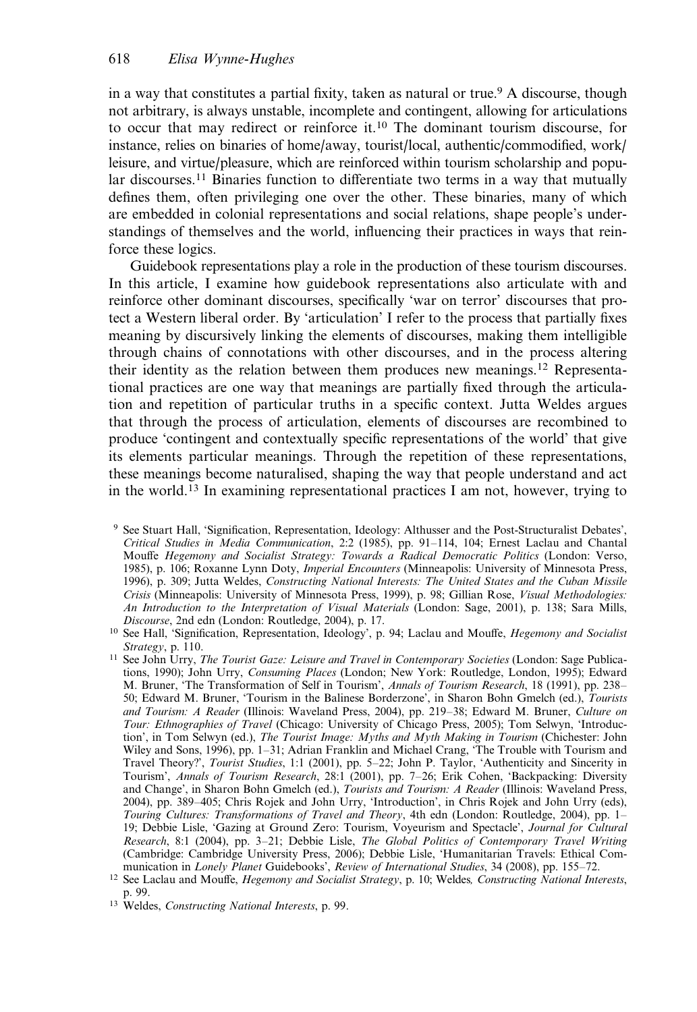in a way that constitutes a partial fixity, taken as natural or true.9 A discourse, though not arbitrary, is always unstable, incomplete and contingent, allowing for articulations to occur that may redirect or reinforce it.<sup>10</sup> The dominant tourism discourse, for instance, relies on binaries of home/away, tourist/local, authentic/commodified, work/ leisure, and virtue/pleasure, which are reinforced within tourism scholarship and popular discourses.<sup>11</sup> Binaries function to differentiate two terms in a way that mutually defines them, often privileging one over the other. These binaries, many of which are embedded in colonial representations and social relations, shape people's understandings of themselves and the world, influencing their practices in ways that reinforce these logics.

Guidebook representations play a role in the production of these tourism discourses. In this article, I examine how guidebook representations also articulate with and reinforce other dominant discourses, specifically 'war on terror' discourses that protect a Western liberal order. By 'articulation' I refer to the process that partially fixes meaning by discursively linking the elements of discourses, making them intelligible through chains of connotations with other discourses, and in the process altering their identity as the relation between them produces new meanings.<sup>12</sup> Representational practices are one way that meanings are partially fixed through the articulation and repetition of particular truths in a specific context. Jutta Weldes argues that through the process of articulation, elements of discourses are recombined to produce 'contingent and contextually specific representations of the world' that give its elements particular meanings. Through the repetition of these representations, these meanings become naturalised, shaping the way that people understand and act in the world.<sup>13</sup> In examining representational practices I am not, however, trying to

<sup>9</sup> See Stuart Hall, 'Signification, Representation, Ideology: Althusser and the Post-Structuralist Debates', Critical Studies in Media Communication, 2:2 (1985), pp. 91–114, 104; Ernest Laclau and Chantal Mouffe Hegemony and Socialist Strategy: Towards a Radical Democratic Politics (London: Verso, 1985), p. 106; Roxanne Lynn Doty, Imperial Encounters (Minneapolis: University of Minnesota Press, 1996), p. 309; Jutta Weldes, Constructing National Interests: The United States and the Cuban Missile Crisis (Minneapolis: University of Minnesota Press, 1999), p. 98; Gillian Rose, Visual Methodologies: An Introduction to the Interpretation of Visual Materials (London: Sage, 2001), p. 138; Sara Mills, Discourse, 2nd edn (London: Routledge, 2004), p. 17.

<sup>&</sup>lt;sup>10</sup> See Hall, 'Signification, Representation, Ideology', p. 94; Laclau and Mouffe, *Hegemony and Socialist* Strategy, p. 110.

<sup>&</sup>lt;sup>11</sup> See John Urry, The Tourist Gaze: Leisure and Travel in Contemporary Societies (London: Sage Publications, 1990); John Urry, Consuming Places (London; New York: Routledge, London, 1995); Edward M. Bruner, 'The Transformation of Self in Tourism', Annals of Tourism Research, 18 (1991), pp. 238-50; Edward M. Bruner, 'Tourism in the Balinese Borderzone', in Sharon Bohn Gmelch (ed.), Tourists and Tourism: A Reader (Illinois: Waveland Press, 2004), pp. 219–38; Edward M. Bruner, Culture on Tour: Ethnographies of Travel (Chicago: University of Chicago Press, 2005); Tom Selwyn, 'Introduction', in Tom Selwyn (ed.), The Tourist Image: Myths and Myth Making in Tourism (Chichester: John Wiley and Sons, 1996), pp. 1–31; Adrian Franklin and Michael Crang, 'The Trouble with Tourism and Travel Theory?', Tourist Studies, 1:1 (2001), pp. 5–22; John P. Taylor, 'Authenticity and Sincerity in Tourism', Annals of Tourism Research, 28:1 (2001), pp. 7–26; Erik Cohen, 'Backpacking: Diversity and Change', in Sharon Bohn Gmelch (ed.), *Tourists and Tourism: A Reader* (Illinois: Waveland Press, 2004), pp. 389–405; Chris Rojek and John Urry, 'Introduction', in Chris Rojek and John Urry (eds), Touring Cultures: Transformations of Travel and Theory, 4th edn (London: Routledge, 2004), pp. 1– 19; Debbie Lisle, 'Gazing at Ground Zero: Tourism, Voyeurism and Spectacle', Journal for Cultural Research, 8:1 (2004), pp. 3–21; Debbie Lisle, The Global Politics of Contemporary Travel Writing (Cambridge: Cambridge University Press, 2006); Debbie Lisle, 'Humanitarian Travels: Ethical Communication in Lonely Planet Guidebooks', Review of International Studies, 34 (2008), pp. 155–72.

<sup>&</sup>lt;sup>12</sup> See Laclau and Mouffe, Hegemony and Socialist Strategy, p. 10; Weldes, Constructing National Interests, p. 99.

<sup>13</sup> Weldes, Constructing National Interests, p. 99.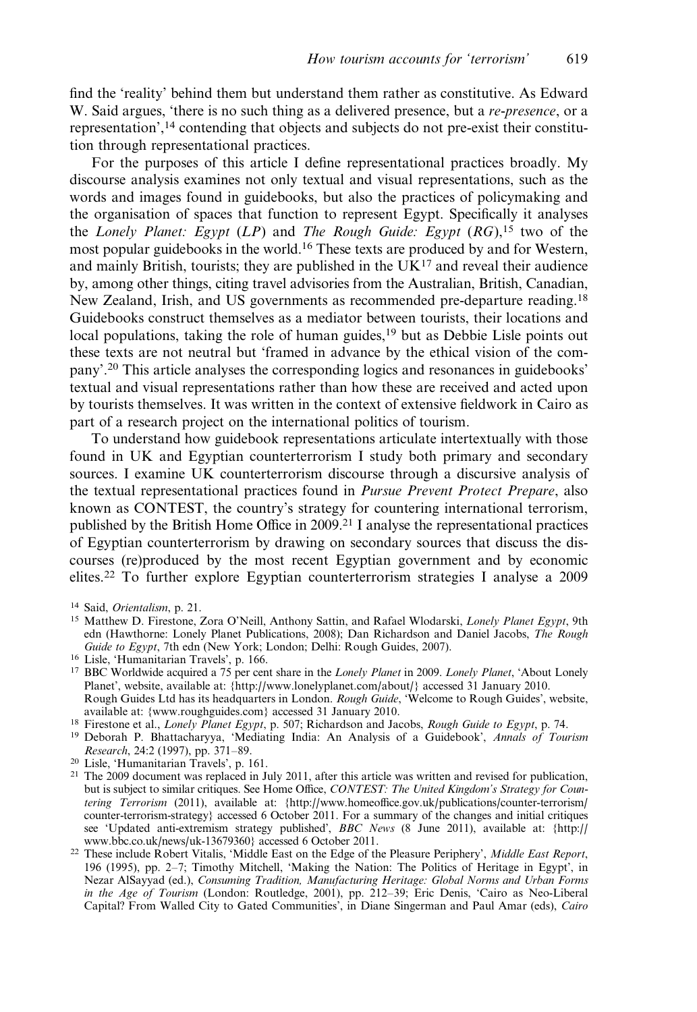find the 'reality' behind them but understand them rather as constitutive. As Edward W. Said argues, 'there is no such thing as a delivered presence, but a re-presence, or a representation',14 contending that objects and subjects do not pre-exist their constitution through representational practices.

For the purposes of this article I define representational practices broadly. My discourse analysis examines not only textual and visual representations, such as the words and images found in guidebooks, but also the practices of policymaking and the organisation of spaces that function to represent Egypt. Specifically it analyses the Lonely Planet: Egypt  $(LP)$  and The Rough Guide: Egypt  $(RG)$ , <sup>15</sup> two of the most popular guidebooks in the world.16 These texts are produced by and for Western, and mainly British, tourists; they are published in the  $UK^{17}$  and reveal their audience by, among other things, citing travel advisories from the Australian, British, Canadian, New Zealand, Irish, and US governments as recommended pre-departure reading.<sup>18</sup> Guidebooks construct themselves as a mediator between tourists, their locations and local populations, taking the role of human guides,<sup>19</sup> but as Debbie Lisle points out these texts are not neutral but 'framed in advance by the ethical vision of the company'.20 This article analyses the corresponding logics and resonances in guidebooks' textual and visual representations rather than how these are received and acted upon by tourists themselves. It was written in the context of extensive fieldwork in Cairo as part of a research project on the international politics of tourism.

To understand how guidebook representations articulate intertextually with those found in UK and Egyptian counterterrorism I study both primary and secondary sources. I examine UK counterterrorism discourse through a discursive analysis of the textual representational practices found in Pursue Prevent Protect Prepare, also known as CONTEST, the country's strategy for countering international terrorism, published by the British Home Office in 2009.21 I analyse the representational practices of Egyptian counterterrorism by drawing on secondary sources that discuss the discourses (re)produced by the most recent Egyptian government and by economic elites.<sup>22</sup> To further explore Egyptian counterterrorism strategies I analyse a 2009

- <sup>20</sup> Lisle, 'Humanitarian Travels', p. 161.
- <sup>21</sup> The 2009 document was replaced in July 2011, after this article was written and revised for publication, but is subject to similar critiques. See Home Office, CONTEST: The United Kingdom's Strategy for Countering Terrorism (2011), available at: [{http://www.homeoffice.gov.uk/publications/counter-terrorism/](http://www.homeoffice.gov.uk/publications/counter-terrorism/counter-terrorism-strategy) [counter-terrorism-strategy](http://www.homeoffice.gov.uk/publications/counter-terrorism/counter-terrorism-strategy)} accessed 6 October 2011. For a summary of the changes and initial critiques see 'Updated anti-extremism strategy published', BBC News (8 June 2011), available at: {[http://](http://www.bbc.co.uk/news/uk-13679360) [www.bbc.co.uk/news/uk-13679360](http://www.bbc.co.uk/news/uk-13679360)} accessed 6 October 2011.
- <sup>22</sup> These include Robert Vitalis, 'Middle East on the Edge of the Pleasure Periphery', Middle East Report, 196 (1995), pp. 2–7; Timothy Mitchell, 'Making the Nation: The Politics of Heritage in Egypt', in Nezar AlSayyad (ed.), Consuming Tradition, Manufacturing Heritage: Global Norms and Urban Forms in the Age of Tourism (London: Routledge, 2001), pp. 212–39; Eric Denis, 'Cairo as Neo-Liberal Capital? From Walled City to Gated Communities', in Diane Singerman and Paul Amar (eds), Cairo

<sup>14</sup> Said, Orientalism, p. 21.

<sup>15</sup> Matthew D. Firestone, Zora O'Neill, Anthony Sattin, and Rafael Wlodarski, Lonely Planet Egypt, 9th edn (Hawthorne: Lonely Planet Publications, 2008); Dan Richardson and Daniel Jacobs, The Rough Guide to Egypt, 7th edn (New York; London; Delhi: Rough Guides, 2007).

<sup>16</sup> Lisle, 'Humanitarian Travels', p. 166.

<sup>&</sup>lt;sup>17</sup> BBC Worldwide acquired a 75 per cent share in the Lonely Planet in 2009. Lonely Planet, 'About Lonely Planet', website, available at: {<http://www.lonelyplanet.com/about/>} accessed 31 January 2010. Rough Guides Ltd has its headquarters in London. Rough Guide, 'Welcome to Rough Guides', website, available at: {<www.roughguides.com>} accessed 31 January 2010.

<sup>&</sup>lt;sup>18</sup> Firestone et al., *Lonely Planet Egypt*, p. 507; Richardson and Jacobs, *Rough Guide to Egypt*, p. 74.

<sup>&</sup>lt;sup>19</sup> Deborah P. Bhattacharyya, 'Mediating India: An Analysis of a Guidebook', Annals of Tourism Research, 24:2 (1997), pp. 371–89.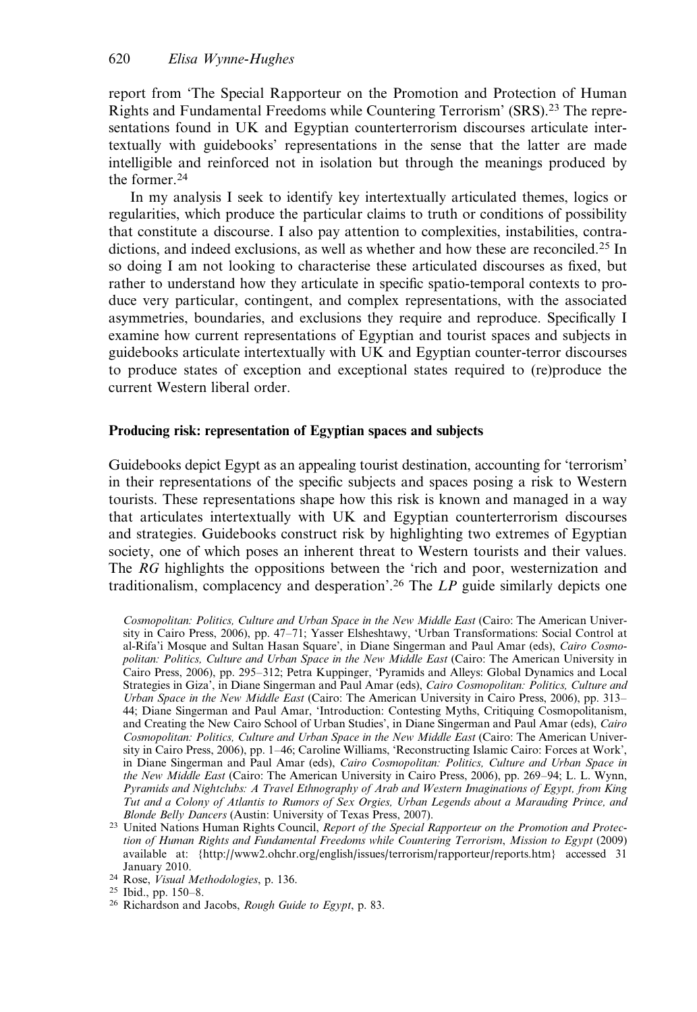report from 'The Special Rapporteur on the Promotion and Protection of Human Rights and Fundamental Freedoms while Countering Terrorism' (SRS).<sup>23</sup> The representations found in UK and Egyptian counterterrorism discourses articulate intertextually with guidebooks' representations in the sense that the latter are made intelligible and reinforced not in isolation but through the meanings produced by the former.<sup>24</sup>

In my analysis I seek to identify key intertextually articulated themes, logics or regularities, which produce the particular claims to truth or conditions of possibility that constitute a discourse. I also pay attention to complexities, instabilities, contradictions, and indeed exclusions, as well as whether and how these are reconciled.<sup>25</sup> In so doing I am not looking to characterise these articulated discourses as fixed, but rather to understand how they articulate in specific spatio-temporal contexts to produce very particular, contingent, and complex representations, with the associated asymmetries, boundaries, and exclusions they require and reproduce. Specifically I examine how current representations of Egyptian and tourist spaces and subjects in guidebooks articulate intertextually with UK and Egyptian counter-terror discourses to produce states of exception and exceptional states required to (re)produce the current Western liberal order.

## Producing risk: representation of Egyptian spaces and subjects

Guidebooks depict Egypt as an appealing tourist destination, accounting for 'terrorism' in their representations of the specific subjects and spaces posing a risk to Western tourists. These representations shape how this risk is known and managed in a way that articulates intertextually with UK and Egyptian counterterrorism discourses and strategies. Guidebooks construct risk by highlighting two extremes of Egyptian society, one of which poses an inherent threat to Western tourists and their values. The RG highlights the oppositions between the 'rich and poor, westernization and traditionalism, complacency and desperation'.<sup>26</sup> The  $LP$  guide similarly depicts one

Cosmopolitan: Politics, Culture and Urban Space in the New Middle East (Cairo: The American University in Cairo Press, 2006), pp. 47–71; Yasser Elsheshtawy, 'Urban Transformations: Social Control at al-Rifa'i Mosque and Sultan Hasan Square', in Diane Singerman and Paul Amar (eds), Cairo Cosmopolitan: Politics, Culture and Urban Space in the New Middle East (Cairo: The American University in Cairo Press, 2006), pp. 295–312; Petra Kuppinger, 'Pyramids and Alleys: Global Dynamics and Local Strategies in Giza', in Diane Singerman and Paul Amar (eds), Cairo Cosmopolitan: Politics, Culture and Urban Space in the New Middle East (Cairo: The American University in Cairo Press, 2006), pp. 313– 44; Diane Singerman and Paul Amar, 'Introduction: Contesting Myths, Critiquing Cosmopolitanism, and Creating the New Cairo School of Urban Studies', in Diane Singerman and Paul Amar (eds), Cairo Cosmopolitan: Politics, Culture and Urban Space in the New Middle East (Cairo: The American University in Cairo Press, 2006), pp. 1–46; Caroline Williams, 'Reconstructing Islamic Cairo: Forces at Work', in Diane Singerman and Paul Amar (eds), Cairo Cosmopolitan: Politics, Culture and Urban Space in the New Middle East (Cairo: The American University in Cairo Press, 2006), pp. 269–94; L. L. Wynn, Pyramids and Nightclubs: A Travel Ethnography of Arab and Western Imaginations of Egypt, from King Tut and a Colony of Atlantis to Rumors of Sex Orgies, Urban Legends about a Marauding Prince, and Blonde Belly Dancers (Austin: University of Texas Press, 2007).

<sup>&</sup>lt;sup>23</sup> United Nations Human Rights Council, Report of the Special Rapporteur on the Promotion and Protection of Human Rights and Fundamental Freedoms while Countering Terrorism, Mission to Egypt (2009) available at: [{http://www2.ohchr.org/english/issues/terrorism/rapporteur/reports.htm](http://www2.ohchr.org/english/issues/terrorism/rapporteur/reports.htm)} accessed 31 January 2010.

<sup>&</sup>lt;sup>24</sup> Rose, Visual Methodologies, p. 136.

<sup>25</sup> Ibid., pp. 150–8.

<sup>&</sup>lt;sup>26</sup> Richardson and Jacobs, *Rough Guide to Egypt*, p. 83.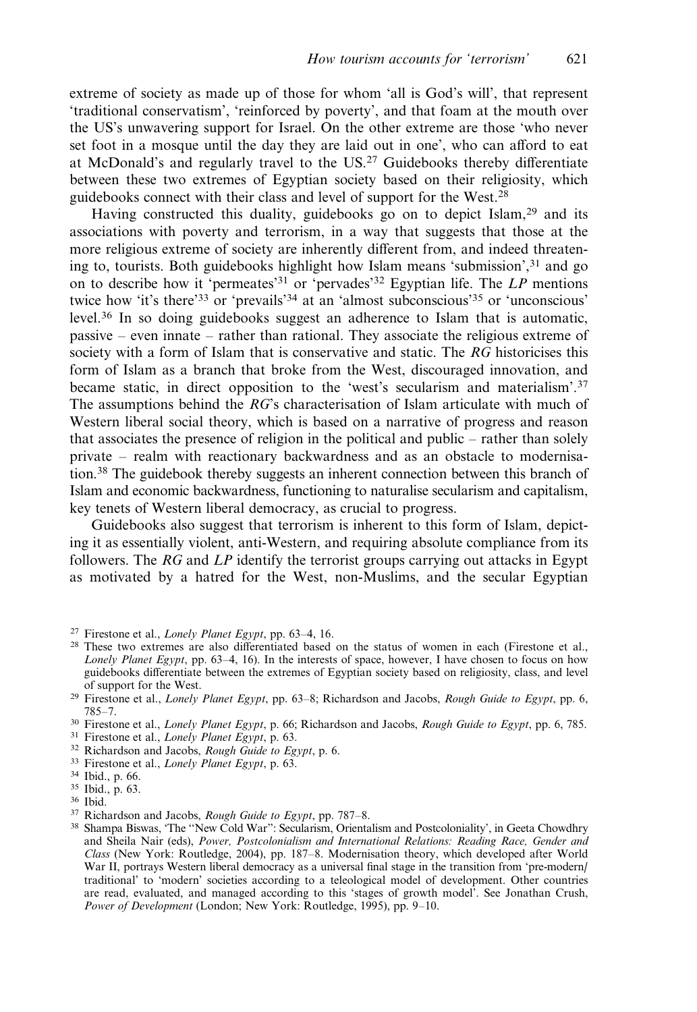extreme of society as made up of those for whom 'all is God's will', that represent 'traditional conservatism', 'reinforced by poverty', and that foam at the mouth over the US's unwavering support for Israel. On the other extreme are those 'who never set foot in a mosque until the day they are laid out in one', who can afford to eat at McDonald's and regularly travel to the US.<sup>27</sup> Guidebooks thereby differentiate between these two extremes of Egyptian society based on their religiosity, which guidebooks connect with their class and level of support for the West.<sup>28</sup>

Having constructed this duality, guidebooks go on to depict Islam,<sup>29</sup> and its associations with poverty and terrorism, in a way that suggests that those at the more religious extreme of society are inherently different from, and indeed threatening to, tourists. Both guidebooks highlight how Islam means 'submission',<sup>31</sup> and go on to describe how it 'permeates'<sup>31</sup> or 'pervades'<sup>32</sup> Egyptian life. The  $LP$  mentions twice how 'it's there'33 or 'prevails'<sup>34</sup> at an 'almost subconscious'<sup>35</sup> or 'unconscious' level.<sup>36</sup> In so doing guidebooks suggest an adherence to Islam that is automatic, passive – even innate – rather than rational. They associate the religious extreme of society with a form of Islam that is conservative and static. The RG historicises this form of Islam as a branch that broke from the West, discouraged innovation, and became static, in direct opposition to the 'west's secularism and materialism'.<sup>37</sup> The assumptions behind the RG's characterisation of Islam articulate with much of Western liberal social theory, which is based on a narrative of progress and reason that associates the presence of religion in the political and public – rather than solely private – realm with reactionary backwardness and as an obstacle to modernisation.38 The guidebook thereby suggests an inherent connection between this branch of Islam and economic backwardness, functioning to naturalise secularism and capitalism, key tenets of Western liberal democracy, as crucial to progress.

Guidebooks also suggest that terrorism is inherent to this form of Islam, depicting it as essentially violent, anti-Western, and requiring absolute compliance from its followers. The  $RG$  and  $LP$  identify the terrorist groups carrying out attacks in Egypt as motivated by a hatred for the West, non-Muslims, and the secular Egyptian

<sup>27</sup> Firestone et al., Lonely Planet Egypt, pp. 63–4, 16.

<sup>&</sup>lt;sup>28</sup> These two extremes are also differentiated based on the status of women in each (Firestone et al., Lonely Planet Egypt, pp. 63–4, 16). In the interests of space, however, I have chosen to focus on how guidebooks differentiate between the extremes of Egyptian society based on religiosity, class, and level of support for the West.

<sup>&</sup>lt;sup>29</sup> Firestone et al., *Lonely Planet Egypt*, pp. 63–8; Richardson and Jacobs, *Rough Guide to Egypt*, pp. 6, 785–7.

<sup>&</sup>lt;sup>30</sup> Firestone et al., *Lonely Planet Egypt*, p. 66; Richardson and Jacobs, *Rough Guide to Egypt*, pp. 6, 785.

<sup>&</sup>lt;sup>31</sup> Firestone et al., *Lonely Planet Egypt*, p. 63.

<sup>&</sup>lt;sup>32</sup> Richardson and Jacobs, Rough Guide to Egypt, p. 6.

<sup>33</sup> Firestone et al., Lonely Planet Egypt, p. 63.

<sup>34</sup> Ibid., p. 66.

<sup>35</sup> Ibid., p. 63.

<sup>36</sup> Ibid.

 $37$  Richardson and Jacobs, *Rough Guide to Egypt*, pp. 787–8.

<sup>38</sup> Shampa Biswas, 'The ''New Cold War'': Secularism, Orientalism and Postcoloniality', in Geeta Chowdhry and Sheila Nair (eds), Power, Postcolonialism and International Relations: Reading Race, Gender and Class (New York: Routledge, 2004), pp. 187–8. Modernisation theory, which developed after World War II, portrays Western liberal democracy as a universal final stage in the transition from 'pre-modern/ traditional' to 'modern' societies according to a teleological model of development. Other countries are read, evaluated, and managed according to this 'stages of growth model'. See Jonathan Crush, Power of Development (London; New York: Routledge, 1995), pp. 9–10.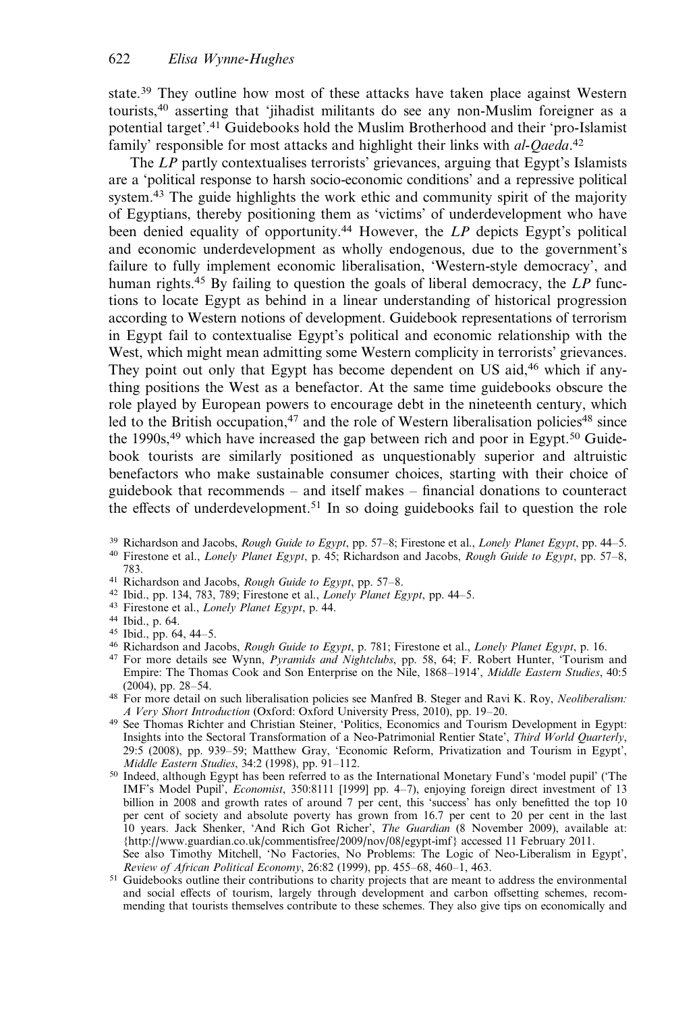state.<sup>39</sup> They outline how most of these attacks have taken place against Western tourists,<sup>40</sup> asserting that 'jihadist militants do see any non-Muslim foreigner as a potential target'.<sup>41</sup> Guidebooks hold the Muslim Brotherhood and their 'pro-Islamist family' responsible for most attacks and highlight their links with al-Qaeda.<sup>42</sup>

The LP partly contextualises terrorists' grievances, arguing that Egypt's Islamists are a 'political response to harsh socio-economic conditions' and a repressive political system.<sup>43</sup> The guide highlights the work ethic and community spirit of the majority of Egyptians, thereby positioning them as 'victims' of underdevelopment who have been denied equality of opportunity.<sup>44</sup> However, the LP depicts Egypt's political and economic underdevelopment as wholly endogenous, due to the government's failure to fully implement economic liberalisation, 'Western-style democracy', and human rights.<sup>45</sup> By failing to question the goals of liberal democracy, the  $LP$  functions to locate Egypt as behind in a linear understanding of historical progression according to Western notions of development. Guidebook representations of terrorism in Egypt fail to contextualise Egypt's political and economic relationship with the West, which might mean admitting some Western complicity in terrorists' grievances. They point out only that Egypt has become dependent on US aid,<sup>46</sup> which if anything positions the West as a benefactor. At the same time guidebooks obscure the role played by European powers to encourage debt in the nineteenth century, which led to the British occupation,<sup>47</sup> and the role of Western liberalisation policies<sup>48</sup> since the 1990s,  $49$  which have increased the gap between rich and poor in Egypt.<sup>50</sup> Guidebook tourists are similarly positioned as unquestionably superior and altruistic benefactors who make sustainable consumer choices, starting with their choice of guidebook that recommends – and itself makes – financial donations to counteract the effects of underdevelopment.<sup>51</sup> In so doing guidebooks fail to question the role

<sup>39</sup> Richardson and Jacobs, *Rough Guide to Egypt*, pp. 57–8; Firestone et al., *Lonely Planet Egypt*, pp. 44–5.

- <sup>41</sup> Richardson and Jacobs, Rough Guide to Egypt, pp. 57–8.
- 42 Ibid., pp. 134, 783, 789; Firestone et al., Lonely Planet Egypt, pp. 44-5.
- <sup>43</sup> Firestone et al., Lonely Planet Egypt, p. 44.
- <sup>44</sup> Ibid., p. 64.
- <sup>45</sup> Ibid., pp. 64, 44–5.
- 46 Richardson and Jacobs, Rough Guide to Egypt, p. 781; Firestone et al., Lonely Planet Egypt, p. 16.
- <sup>47</sup> For more details see Wynn, Pyramids and Nightclubs, pp. 58, 64; F. Robert Hunter, 'Tourism and Empire: The Thomas Cook and Son Enterprise on the Nile, 1868–1914', Middle Eastern Studies, 40:5 (2004), pp. 28–54.
- <sup>48</sup> For more detail on such liberalisation policies see Manfred B. Steger and Ravi K. Roy, Neoliberalism: A Very Short Introduction (Oxford: Oxford University Press, 2010), pp. 19–20.
- <sup>49</sup> See Thomas Richter and Christian Steiner, 'Politics, Economics and Tourism Development in Egypt: Insights into the Sectoral Transformation of a Neo-Patrimonial Rentier State', Third World Quarterly, 29:5 (2008), pp. 939–59; Matthew Gray, 'Economic Reform, Privatization and Tourism in Egypt', Middle Eastern Studies, 34:2 (1998), pp. 91–112.
- <sup>50</sup> Indeed, although Egypt has been referred to as the International Monetary Fund's 'model pupil' ('The IMF's Model Pupil', Economist, 350:8111 [1999] pp. 4–7), enjoying foreign direct investment of 13 billion in 2008 and growth rates of around 7 per cent, this 'success' has only benefitted the top 10 per cent of society and absolute poverty has grown from 16.7 per cent to 20 per cent in the last 10 years. Jack Shenker, 'And Rich Got Richer', The Guardian (8 November 2009), available at: {<http://www.guardian.co.uk/commentisfree/2009/nov/08/egypt-imf>} accessed 11 February 2011. See also Timothy Mitchell, 'No Factories, No Problems: The Logic of Neo-Liberalism in Egypt',
- Review of African Political Economy, 26:82 (1999), pp. 455–68, 460–1, 463. <sup>51</sup> Guidebooks outline their contributions to charity projects that are meant to address the environmental and social effects of tourism, largely through development and carbon offsetting schemes, recommending that tourists themselves contribute to these schemes. They also give tips on economically and

<sup>&</sup>lt;sup>40</sup> Firestone et al., *Lonely Planet Egypt*, p. 45; Richardson and Jacobs, *Rough Guide to Egypt*, pp. 57–8, 783.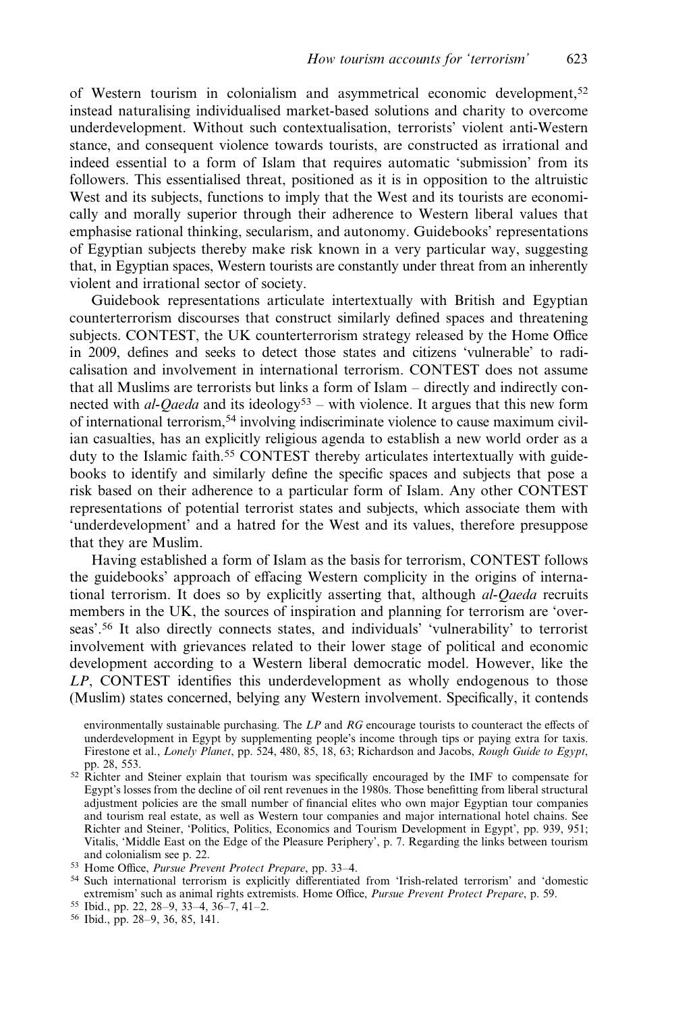of Western tourism in colonialism and asymmetrical economic development,<sup>52</sup> instead naturalising individualised market-based solutions and charity to overcome underdevelopment. Without such contextualisation, terrorists' violent anti-Western stance, and consequent violence towards tourists, are constructed as irrational and indeed essential to a form of Islam that requires automatic 'submission' from its followers. This essentialised threat, positioned as it is in opposition to the altruistic West and its subjects, functions to imply that the West and its tourists are economically and morally superior through their adherence to Western liberal values that emphasise rational thinking, secularism, and autonomy. Guidebooks' representations of Egyptian subjects thereby make risk known in a very particular way, suggesting that, in Egyptian spaces, Western tourists are constantly under threat from an inherently violent and irrational sector of society.

Guidebook representations articulate intertextually with British and Egyptian counterterrorism discourses that construct similarly defined spaces and threatening subjects. CONTEST, the UK counterterrorism strategy released by the Home Office in 2009, defines and seeks to detect those states and citizens 'vulnerable' to radicalisation and involvement in international terrorism. CONTEST does not assume that all Muslims are terrorists but links a form of Islam – directly and indirectly connected with *al-Qaeda* and its ideology<sup>53</sup> – with violence. It argues that this new form of international terrorism,54 involving indiscriminate violence to cause maximum civilian casualties, has an explicitly religious agenda to establish a new world order as a duty to the Islamic faith.<sup>55</sup> CONTEST thereby articulates intertextually with guidebooks to identify and similarly define the specific spaces and subjects that pose a risk based on their adherence to a particular form of Islam. Any other CONTEST representations of potential terrorist states and subjects, which associate them with 'underdevelopment' and a hatred for the West and its values, therefore presuppose that they are Muslim.

Having established a form of Islam as the basis for terrorism, CONTEST follows the guidebooks' approach of effacing Western complicity in the origins of international terrorism. It does so by explicitly asserting that, although *al-Qaeda* recruits members in the UK, the sources of inspiration and planning for terrorism are 'overseas'.<sup>56</sup> It also directly connects states, and individuals' 'vulnerability' to terrorist involvement with grievances related to their lower stage of political and economic development according to a Western liberal democratic model. However, like the LP, CONTEST identifies this underdevelopment as wholly endogenous to those (Muslim) states concerned, belying any Western involvement. Specifically, it contends

environmentally sustainable purchasing. The  $LP$  and  $RG$  encourage tourists to counteract the effects of underdevelopment in Egypt by supplementing people's income through tips or paying extra for taxis. Firestone et al., Lonely Planet, pp. 524, 480, 85, 18, 63; Richardson and Jacobs, Rough Guide to Egypt, pp. 28, 553.

- <sup>52</sup> Richter and Steiner explain that tourism was specifically encouraged by the IMF to compensate for Egypt's losses from the decline of oil rent revenues in the 1980s. Those benefitting from liberal structural adjustment policies are the small number of financial elites who own major Egyptian tour companies and tourism real estate, as well as Western tour companies and major international hotel chains. See Richter and Steiner, 'Politics, Politics, Economics and Tourism Development in Egypt', pp. 939, 951; Vitalis, 'Middle East on the Edge of the Pleasure Periphery', p. 7. Regarding the links between tourism and colonialism see p. 22.
- <sup>53</sup> Home Office, Pursue Prevent Protect Prepare, pp. 33–4.
- <sup>54</sup> Such international terrorism is explicitly differentiated from 'Irish-related terrorism' and 'domestic extremism' such as animal rights extremists. Home Office, Pursue Prevent Protect Prepare, p. 59.
- <sup>55</sup> Ibid., pp. 22, 28–9, 33–4, 36–7, 41–2.

<sup>56</sup> Ibid., pp. 28–9, 36, 85, 141.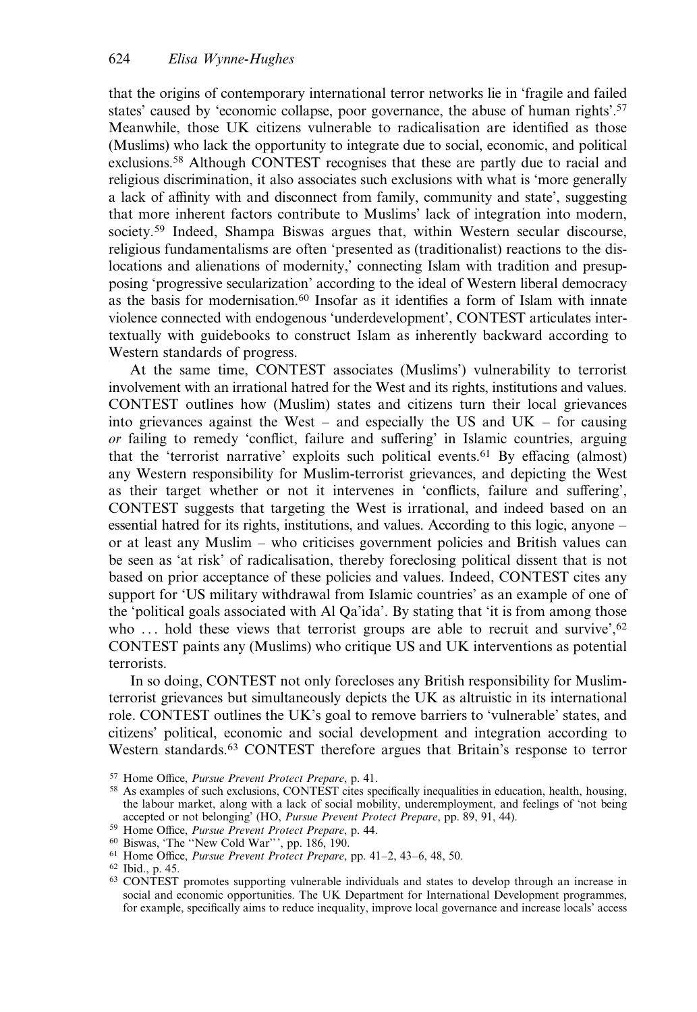that the origins of contemporary international terror networks lie in 'fragile and failed states' caused by 'economic collapse, poor governance, the abuse of human rights'.57 Meanwhile, those UK citizens vulnerable to radicalisation are identified as those (Muslims) who lack the opportunity to integrate due to social, economic, and political exclusions.58 Although CONTEST recognises that these are partly due to racial and religious discrimination, it also associates such exclusions with what is 'more generally a lack of affinity with and disconnect from family, community and state', suggesting that more inherent factors contribute to Muslims' lack of integration into modern, society.<sup>59</sup> Indeed, Shampa Biswas argues that, within Western secular discourse, religious fundamentalisms are often 'presented as (traditionalist) reactions to the dislocations and alienations of modernity,' connecting Islam with tradition and presupposing 'progressive secularization' according to the ideal of Western liberal democracy as the basis for modernisation.60 Insofar as it identifies a form of Islam with innate violence connected with endogenous 'underdevelopment', CONTEST articulates intertextually with guidebooks to construct Islam as inherently backward according to Western standards of progress.

At the same time, CONTEST associates (Muslims') vulnerability to terrorist involvement with an irrational hatred for the West and its rights, institutions and values. CONTEST outlines how (Muslim) states and citizens turn their local grievances into grievances against the West – and especially the US and UK – for causing or failing to remedy 'conflict, failure and suffering' in Islamic countries, arguing that the 'terrorist narrative' exploits such political events.<sup>61</sup> By effacing (almost) any Western responsibility for Muslim-terrorist grievances, and depicting the West as their target whether or not it intervenes in 'conflicts, failure and suffering', CONTEST suggests that targeting the West is irrational, and indeed based on an essential hatred for its rights, institutions, and values. According to this logic, anyone – or at least any Muslim – who criticises government policies and British values can be seen as 'at risk' of radicalisation, thereby foreclosing political dissent that is not based on prior acceptance of these policies and values. Indeed, CONTEST cites any support for 'US military withdrawal from Islamic countries' as an example of one of the 'political goals associated with Al Qa'ida'. By stating that 'it is from among those who  $\ldots$  hold these views that terrorist groups are able to recruit and survive', <sup>62</sup> CONTEST paints any (Muslims) who critique US and UK interventions as potential terrorists.

In so doing, CONTEST not only forecloses any British responsibility for Muslimterrorist grievances but simultaneously depicts the UK as altruistic in its international role. CONTEST outlines the UK's goal to remove barriers to 'vulnerable' states, and citizens' political, economic and social development and integration according to Western standards.63 CONTEST therefore argues that Britain's response to terror

<sup>57</sup> Home Office, Pursue Prevent Protect Prepare, p. 41.

<sup>58</sup> As examples of such exclusions, CONTEST cites specifically inequalities in education, health, housing, the labour market, along with a lack of social mobility, underemployment, and feelings of 'not being accepted or not belonging' (HO, Pursue Prevent Protect Prepare, pp. 89, 91, 44).

<sup>59</sup> Home Office, Pursue Prevent Protect Prepare, p. 44.

<sup>60</sup> Biswas, 'The ''New Cold War''', pp. 186, 190.

<sup>61</sup> Home Office, Pursue Prevent Protect Prepare, pp. 41–2, 43–6, 48, 50.

<sup>62</sup> Ibid., p. 45.

<sup>63</sup> CONTEST promotes supporting vulnerable individuals and states to develop through an increase in social and economic opportunities. The UK Department for International Development programmes, for example, specifically aims to reduce inequality, improve local governance and increase locals' access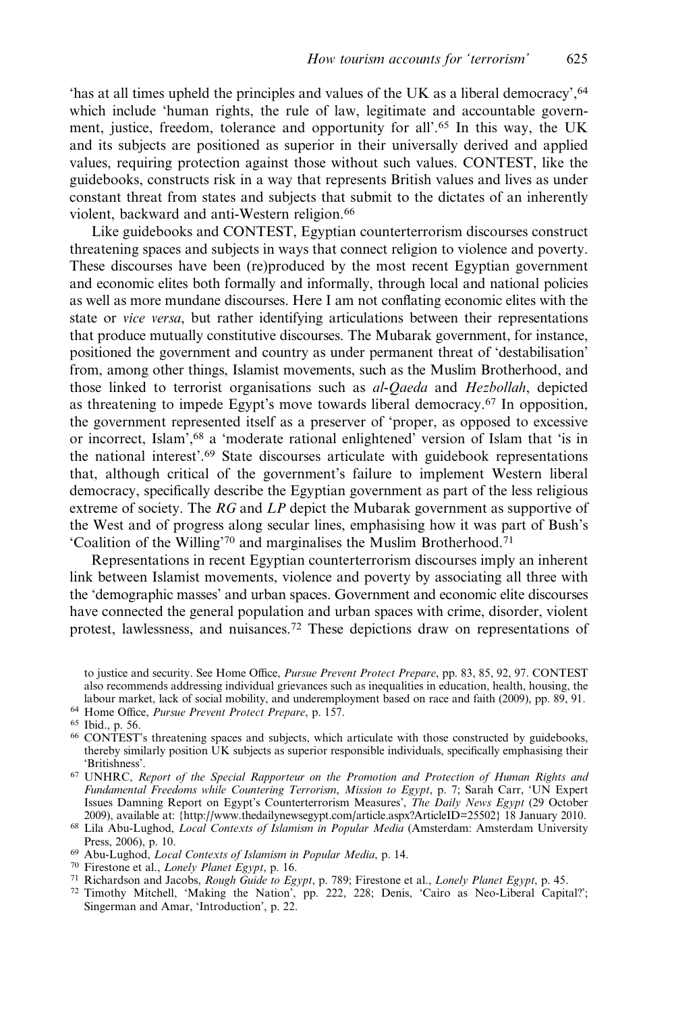'has at all times upheld the principles and values of the UK as a liberal democracy',64 which include 'human rights, the rule of law, legitimate and accountable government, justice, freedom, tolerance and opportunity for all'.<sup>65</sup> In this way, the UK and its subjects are positioned as superior in their universally derived and applied values, requiring protection against those without such values. CONTEST, like the guidebooks, constructs risk in a way that represents British values and lives as under constant threat from states and subjects that submit to the dictates of an inherently violent, backward and anti-Western religion.<sup>66</sup>

Like guidebooks and CONTEST, Egyptian counterterrorism discourses construct threatening spaces and subjects in ways that connect religion to violence and poverty. These discourses have been (re)produced by the most recent Egyptian government and economic elites both formally and informally, through local and national policies as well as more mundane discourses. Here I am not conflating economic elites with the state or vice versa, but rather identifying articulations between their representations that produce mutually constitutive discourses. The Mubarak government, for instance, positioned the government and country as under permanent threat of 'destabilisation' from, among other things, Islamist movements, such as the Muslim Brotherhood, and those linked to terrorist organisations such as al-Qaeda and Hezbollah, depicted as threatening to impede Egypt's move towards liberal democracy.<sup>67</sup> In opposition, the government represented itself as a preserver of 'proper, as opposed to excessive or incorrect, Islam',<sup>68</sup> a 'moderate rational enlightened' version of Islam that 'is in the national interest'.<sup>69</sup> State discourses articulate with guidebook representations that, although critical of the government's failure to implement Western liberal democracy, specifically describe the Egyptian government as part of the less religious extreme of society. The RG and LP depict the Mubarak government as supportive of the West and of progress along secular lines, emphasising how it was part of Bush's 'Coalition of the Willing'<sup>70</sup> and marginalises the Muslim Brotherhood.<sup>71</sup>

Representations in recent Egyptian counterterrorism discourses imply an inherent link between Islamist movements, violence and poverty by associating all three with the 'demographic masses' and urban spaces. Government and economic elite discourses have connected the general population and urban spaces with crime, disorder, violent protest, lawlessness, and nuisances.<sup>72</sup> These depictions draw on representations of

to justice and security. See Home Office, *Pursue Prevent Protect Prepare*, pp. 83, 85, 92, 97. CONTEST also recommends addressing individual grievances such as inequalities in education, health, housing, the labour market, lack of social mobility, and underemployment based on race and faith (2009), pp. 89, 91.

- <sup>64</sup> Home Office, Pursue Prevent Protect Prepare, p. 157.
- <sup>65</sup> Ibid., p. 56.

<sup>66</sup> CONTEST's threatening spaces and subjects, which articulate with those constructed by guidebooks, thereby similarly position UK subjects as superior responsible individuals, specifically emphasising their 'Britishness'.

- <sup>67</sup> UNHRC, Report of the Special Rapporteur on the Promotion and Protection of Human Rights and Fundamental Freedoms while Countering Terrorism, Mission to Egypt, p. 7; Sarah Carr, 'UN Expert Issues Damning Report on Egypt's Counterterrorism Measures', The Daily News Egypt (29 October 2009), available at: [{http://www.thedailynewsegypt.com/article.aspx?ArticleID=25502}](http://www.thedailynewsegypt.com/article.aspx?ArticleID=25502) 18 January 2010.
- <sup>68</sup> Lila Abu-Lughod, Local Contexts of Islamism in Popular Media (Amsterdam: Amsterdam University Press, 2006), p. 10.
- <sup>69</sup> Abu-Lughod, Local Contexts of Islamism in Popular Media, p. 14.
- <sup>70</sup> Firestone et al., Lonely Planet Egypt, p. 16.
- <sup>71</sup> Richardson and Jacobs, Rough Guide to Egypt, p. 789; Firestone et al., Lonely Planet Egypt, p. 45.
- <sup>72</sup> Timothy Mitchell, 'Making the Nation', pp. 222, 228; Denis, 'Cairo as Neo-Liberal Capital?'; Singerman and Amar, 'Introduction', p. 22.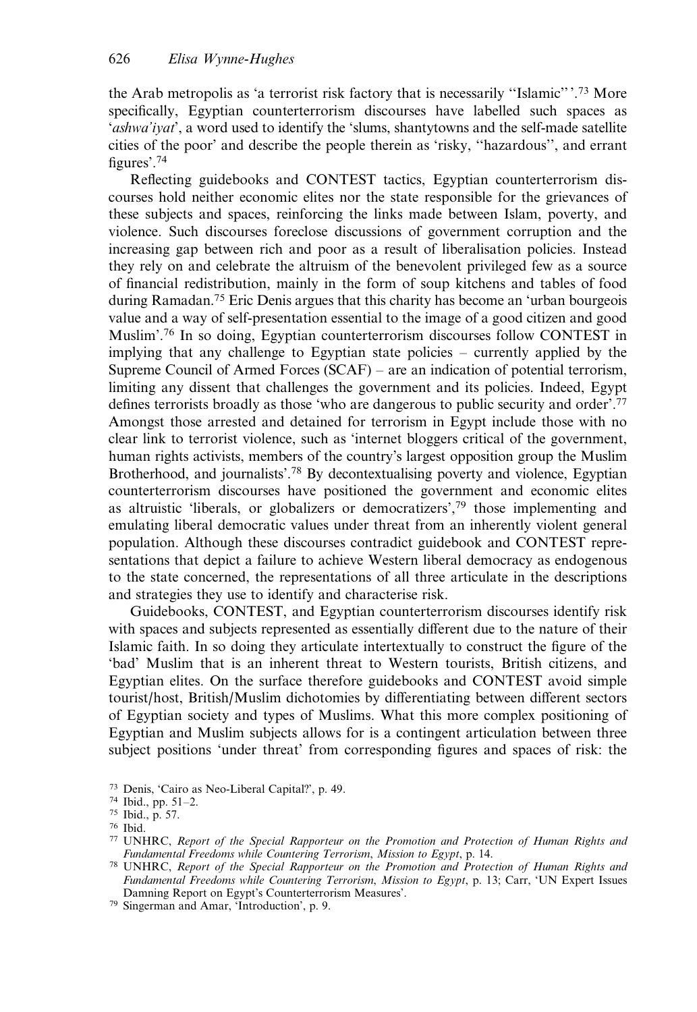the Arab metropolis as 'a terrorist risk factory that is necessarily ''Islamic'' '.<sup>73</sup> More specifically, Egyptian counterterrorism discourses have labelled such spaces as 'ashwa'iyat', a word used to identify the 'slums, shantytowns and the self-made satellite cities of the poor' and describe the people therein as 'risky, ''hazardous'', and errant figures'.<sup>74</sup>

Reflecting guidebooks and CONTEST tactics, Egyptian counterterrorism discourses hold neither economic elites nor the state responsible for the grievances of these subjects and spaces, reinforcing the links made between Islam, poverty, and violence. Such discourses foreclose discussions of government corruption and the increasing gap between rich and poor as a result of liberalisation policies. Instead they rely on and celebrate the altruism of the benevolent privileged few as a source of financial redistribution, mainly in the form of soup kitchens and tables of food during Ramadan.75 Eric Denis argues that this charity has become an 'urban bourgeois value and a way of self-presentation essential to the image of a good citizen and good Muslim'.<sup>76</sup> In so doing, Egyptian counterterrorism discourses follow CONTEST in implying that any challenge to Egyptian state policies – currently applied by the Supreme Council of Armed Forces (SCAF) – are an indication of potential terrorism, limiting any dissent that challenges the government and its policies. Indeed, Egypt defines terrorists broadly as those 'who are dangerous to public security and order'.77 Amongst those arrested and detained for terrorism in Egypt include those with no clear link to terrorist violence, such as 'internet bloggers critical of the government, human rights activists, members of the country's largest opposition group the Muslim Brotherhood, and journalists'.<sup>78</sup> By decontextualising poverty and violence, Egyptian counterterrorism discourses have positioned the government and economic elites as altruistic 'liberals, or globalizers or democratizers',<sup>79</sup> those implementing and emulating liberal democratic values under threat from an inherently violent general population. Although these discourses contradict guidebook and CONTEST representations that depict a failure to achieve Western liberal democracy as endogenous to the state concerned, the representations of all three articulate in the descriptions and strategies they use to identify and characterise risk.

Guidebooks, CONTEST, and Egyptian counterterrorism discourses identify risk with spaces and subjects represented as essentially different due to the nature of their Islamic faith. In so doing they articulate intertextually to construct the figure of the 'bad' Muslim that is an inherent threat to Western tourists, British citizens, and Egyptian elites. On the surface therefore guidebooks and CONTEST avoid simple tourist/host, British/Muslim dichotomies by differentiating between different sectors of Egyptian society and types of Muslims. What this more complex positioning of Egyptian and Muslim subjects allows for is a contingent articulation between three subject positions 'under threat' from corresponding figures and spaces of risk: the

<sup>73</sup> Denis, 'Cairo as Neo-Liberal Capital?', p. 49.

<sup>74</sup> Ibid., pp. 51–2.

<sup>75</sup> Ibid., p. 57.

<sup>76</sup> Ibid.

<sup>77</sup> UNHRC, Report of the Special Rapporteur on the Promotion and Protection of Human Rights and Fundamental Freedoms while Countering Terrorism, Mission to Egypt, p. 14.

<sup>78</sup> UNHRC, Report of the Special Rapporteur on the Promotion and Protection of Human Rights and Fundamental Freedoms while Countering Terrorism, Mission to Egypt, p. 13; Carr, 'UN Expert Issues Damning Report on Egypt's Counterterrorism Measures'.

<sup>79</sup> Singerman and Amar, 'Introduction', p. 9.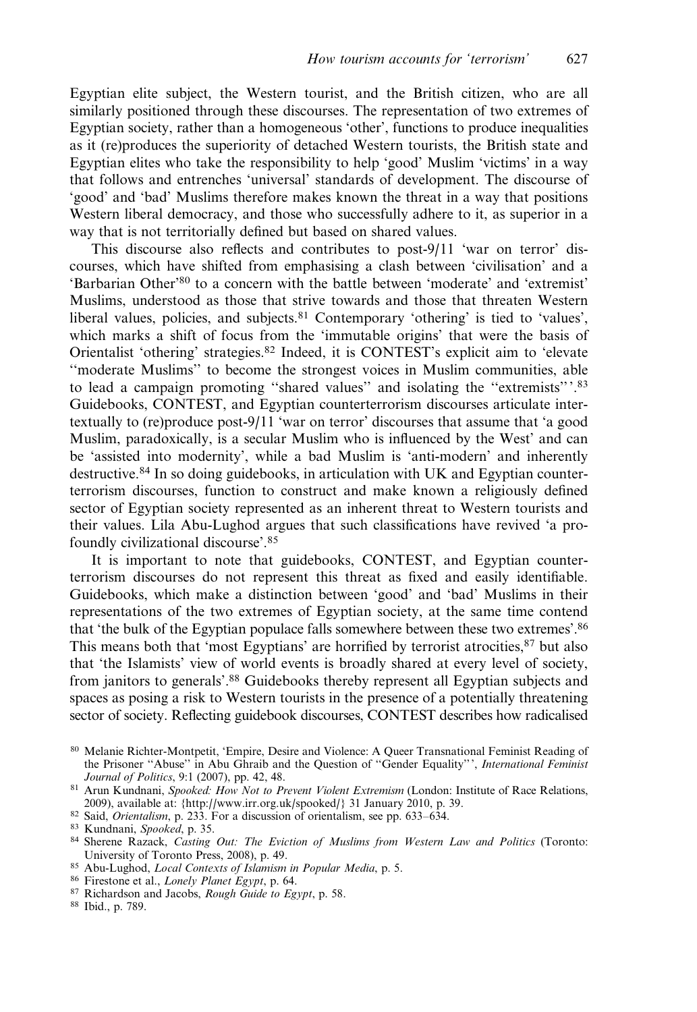Egyptian elite subject, the Western tourist, and the British citizen, who are all similarly positioned through these discourses. The representation of two extremes of Egyptian society, rather than a homogeneous 'other', functions to produce inequalities as it (re)produces the superiority of detached Western tourists, the British state and Egyptian elites who take the responsibility to help 'good' Muslim 'victims' in a way that follows and entrenches 'universal' standards of development. The discourse of 'good' and 'bad' Muslims therefore makes known the threat in a way that positions Western liberal democracy, and those who successfully adhere to it, as superior in a way that is not territorially defined but based on shared values.

This discourse also reflects and contributes to post-9/11 'war on terror' discourses, which have shifted from emphasising a clash between 'civilisation' and a 'Barbarian Other'<sup>80</sup> to a concern with the battle between 'moderate' and 'extremist' Muslims, understood as those that strive towards and those that threaten Western liberal values, policies, and subjects.<sup>81</sup> Contemporary 'othering' is tied to 'values', which marks a shift of focus from the 'immutable origins' that were the basis of Orientalist 'othering' strategies.<sup>82</sup> Indeed, it is CONTEST's explicit aim to 'elevate ''moderate Muslims'' to become the strongest voices in Muslim communities, able to lead a campaign promoting ''shared values'' and isolating the ''extremists'''.<sup>83</sup> Guidebooks, CONTEST, and Egyptian counterterrorism discourses articulate intertextually to (re)produce post-9/11 'war on terror' discourses that assume that 'a good Muslim, paradoxically, is a secular Muslim who is influenced by the West' and can be 'assisted into modernity', while a bad Muslim is 'anti-modern' and inherently destructive.<sup>84</sup> In so doing guidebooks, in articulation with UK and Egyptian counterterrorism discourses, function to construct and make known a religiously defined sector of Egyptian society represented as an inherent threat to Western tourists and their values. Lila Abu-Lughod argues that such classifications have revived 'a profoundly civilizational discourse'.<sup>85</sup>

It is important to note that guidebooks, CONTEST, and Egyptian counterterrorism discourses do not represent this threat as fixed and easily identifiable. Guidebooks, which make a distinction between 'good' and 'bad' Muslims in their representations of the two extremes of Egyptian society, at the same time contend that 'the bulk of the Egyptian populace falls somewhere between these two extremes'.86 This means both that 'most Egyptians' are horrified by terrorist atrocities,<sup>87</sup> but also that 'the Islamists' view of world events is broadly shared at every level of society, from janitors to generals'.<sup>88</sup> Guidebooks thereby represent all Egyptian subjects and spaces as posing a risk to Western tourists in the presence of a potentially threatening sector of society. Reflecting guidebook discourses, CONTEST describes how radicalised

- 85 Abu-Lughod, Local Contexts of Islamism in Popular Media, p. 5.
- <sup>86</sup> Firestone et al., Lonely Planet Egypt, p. 64.
- 87 Richardson and Jacobs, Rough Guide to Egypt, p. 58.
- <sup>88</sup> Ibid., p. 789.

<sup>80</sup> Melanie Richter-Montpetit, 'Empire, Desire and Violence: A Queer Transnational Feminist Reading of the Prisoner "Abuse" in Abu Ghraib and the Question of "Gender Equality"', International Feminist Journal of Politics, 9:1 (2007), pp. 42, 48.

<sup>81</sup> Arun Kundnani, Spooked: How Not to Prevent Violent Extremism (London: Institute of Race Relations, 2009), available at: [{http://www.irr.org.uk/spooked/}](http://www.irr.org.uk/spooked/) 31 January 2010, p. 39.

<sup>82</sup> Said, Orientalism, p. 233. For a discussion of orientalism, see pp. 633–634.

<sup>83</sup> Kundnani, Spooked, p. 35.

<sup>84</sup> Sherene Razack, Casting Out: The Eviction of Muslims from Western Law and Politics (Toronto: University of Toronto Press, 2008), p. 49.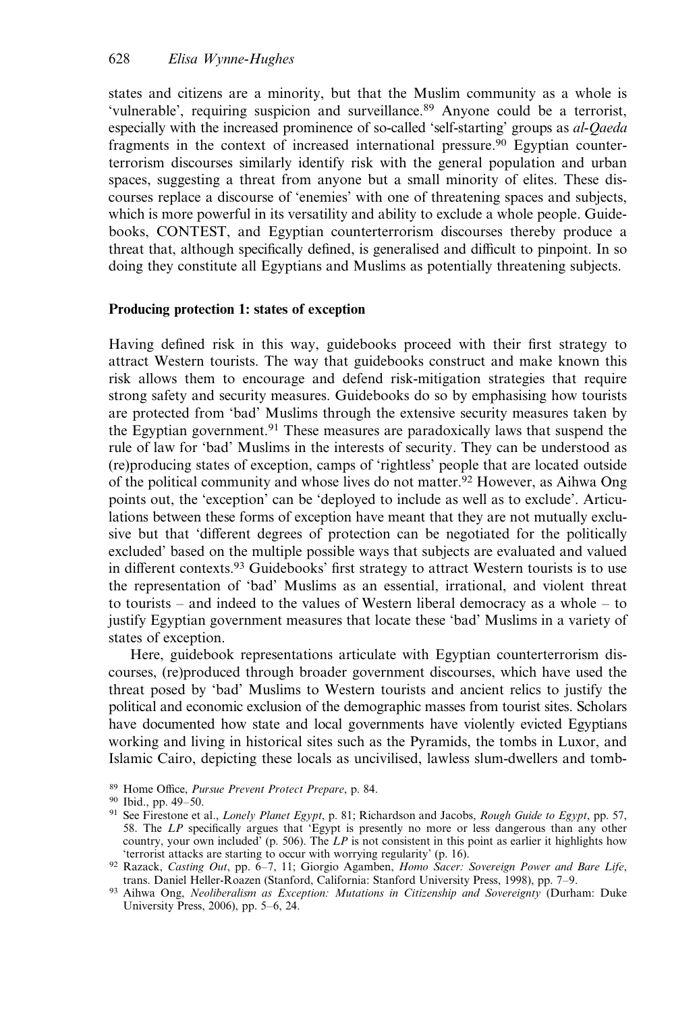states and citizens are a minority, but that the Muslim community as a whole is 'vulnerable', requiring suspicion and surveillance.<sup>89</sup> Anyone could be a terrorist, especially with the increased prominence of so-called 'self-starting' groups as al-Qaeda fragments in the context of increased international pressure.90 Egyptian counterterrorism discourses similarly identify risk with the general population and urban spaces, suggesting a threat from anyone but a small minority of elites. These discourses replace a discourse of 'enemies' with one of threatening spaces and subjects, which is more powerful in its versatility and ability to exclude a whole people. Guidebooks, CONTEST, and Egyptian counterterrorism discourses thereby produce a threat that, although specifically defined, is generalised and difficult to pinpoint. In so doing they constitute all Egyptians and Muslims as potentially threatening subjects.

## Producing protection 1: states of exception

Having defined risk in this way, guidebooks proceed with their first strategy to attract Western tourists. The way that guidebooks construct and make known this risk allows them to encourage and defend risk-mitigation strategies that require strong safety and security measures. Guidebooks do so by emphasising how tourists are protected from 'bad' Muslims through the extensive security measures taken by the Egyptian government.<sup>91</sup> These measures are paradoxically laws that suspend the rule of law for 'bad' Muslims in the interests of security. They can be understood as (re)producing states of exception, camps of 'rightless' people that are located outside of the political community and whose lives do not matter.92 However, as Aihwa Ong points out, the 'exception' can be 'deployed to include as well as to exclude'. Articulations between these forms of exception have meant that they are not mutually exclusive but that 'different degrees of protection can be negotiated for the politically excluded' based on the multiple possible ways that subjects are evaluated and valued in different contexts.<sup>93</sup> Guidebooks' first strategy to attract Western tourists is to use the representation of 'bad' Muslims as an essential, irrational, and violent threat to tourists – and indeed to the values of Western liberal democracy as a whole – to justify Egyptian government measures that locate these 'bad' Muslims in a variety of states of exception.

Here, guidebook representations articulate with Egyptian counterterrorism discourses, (re)produced through broader government discourses, which have used the threat posed by 'bad' Muslims to Western tourists and ancient relics to justify the political and economic exclusion of the demographic masses from tourist sites. Scholars have documented how state and local governments have violently evicted Egyptians working and living in historical sites such as the Pyramids, the tombs in Luxor, and Islamic Cairo, depicting these locals as uncivilised, lawless slum-dwellers and tomb-

<sup>89</sup> Home Office, Pursue Prevent Protect Prepare, p. 84.

<sup>90</sup> Ibid., pp. 49–50.

<sup>91</sup> See Firestone et al., Lonely Planet Egypt, p. 81; Richardson and Jacobs, Rough Guide to Egypt, pp. 57, 58. The LP specifically argues that 'Egypt is presently no more or less dangerous than any other country, your own included' (p. 506). The  $LP$  is not consistent in this point as earlier it highlights how 'terrorist attacks are starting to occur with worrying regularity' (p. 16).

<sup>92</sup> Razack, Casting Out, pp. 6-7, 11; Giorgio Agamben, Homo Sacer: Sovereign Power and Bare Life, trans. Daniel Heller-Roazen (Stanford, California: Stanford University Press, 1998), pp. 7–9.

<sup>93</sup> Aihwa Ong, Neoliberalism as Exception: Mutations in Citizenship and Sovereignty (Durham: Duke University Press, 2006), pp. 5–6, 24.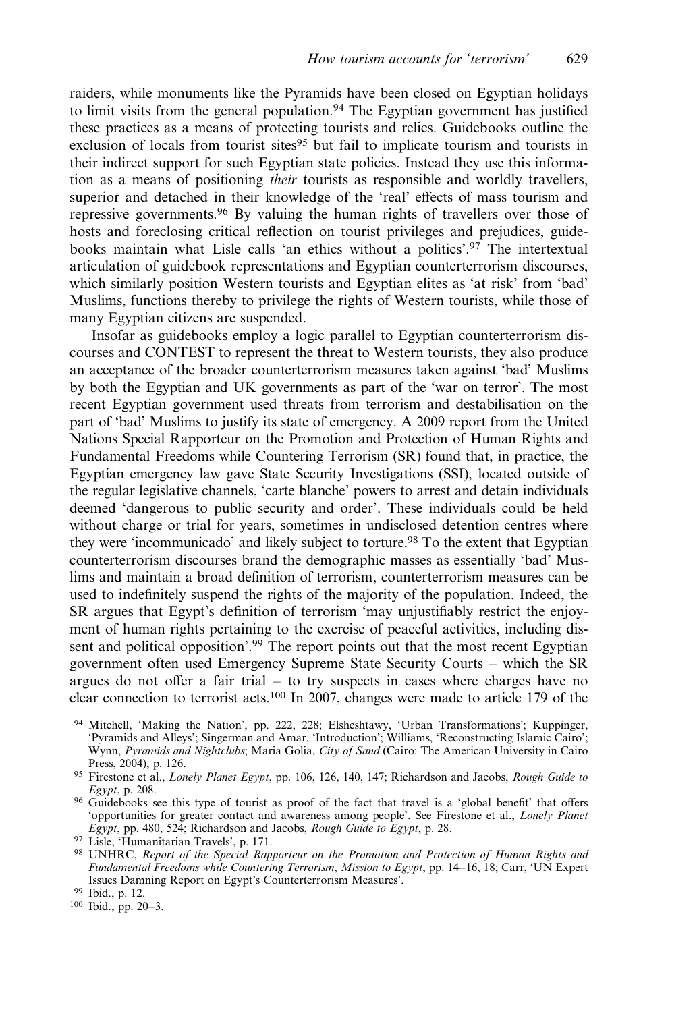raiders, while monuments like the Pyramids have been closed on Egyptian holidays to limit visits from the general population.<sup>94</sup> The Egyptian government has justified these practices as a means of protecting tourists and relics. Guidebooks outline the exclusion of locals from tourist sites<sup>95</sup> but fail to implicate tourism and tourists in their indirect support for such Egyptian state policies. Instead they use this information as a means of positioning their tourists as responsible and worldly travellers, superior and detached in their knowledge of the 'real' effects of mass tourism and repressive governments.<sup>96</sup> By valuing the human rights of travellers over those of hosts and foreclosing critical reflection on tourist privileges and prejudices, guidebooks maintain what Lisle calls 'an ethics without a politics'.<sup>97</sup> The intertextual articulation of guidebook representations and Egyptian counterterrorism discourses, which similarly position Western tourists and Egyptian elites as 'at risk' from 'bad' Muslims, functions thereby to privilege the rights of Western tourists, while those of many Egyptian citizens are suspended.

Insofar as guidebooks employ a logic parallel to Egyptian counterterrorism discourses and CONTEST to represent the threat to Western tourists, they also produce an acceptance of the broader counterterrorism measures taken against 'bad' Muslims by both the Egyptian and UK governments as part of the 'war on terror'. The most recent Egyptian government used threats from terrorism and destabilisation on the part of 'bad' Muslims to justify its state of emergency. A 2009 report from the United Nations Special Rapporteur on the Promotion and Protection of Human Rights and Fundamental Freedoms while Countering Terrorism (SR) found that, in practice, the Egyptian emergency law gave State Security Investigations (SSI), located outside of the regular legislative channels, 'carte blanche' powers to arrest and detain individuals deemed 'dangerous to public security and order'. These individuals could be held without charge or trial for years, sometimes in undisclosed detention centres where they were 'incommunicado' and likely subject to torture.<sup>98</sup> To the extent that Egyptian counterterrorism discourses brand the demographic masses as essentially 'bad' Muslims and maintain a broad definition of terrorism, counterterrorism measures can be used to indefinitely suspend the rights of the majority of the population. Indeed, the SR argues that Egypt's definition of terrorism 'may unjustifiably restrict the enjoyment of human rights pertaining to the exercise of peaceful activities, including dissent and political opposition'.<sup>99</sup> The report points out that the most recent Egyptian government often used Emergency Supreme State Security Courts – which the SR argues do not offer a fair trial – to try suspects in cases where charges have no clear connection to terrorist acts.100 In 2007, changes were made to article 179 of the

- <sup>94</sup> Mitchell, 'Making the Nation', pp. 222, 228; Elsheshtawy, 'Urban Transformations'; Kuppinger, 'Pyramids and Alleys'; Singerman and Amar, 'Introduction'; Williams, 'Reconstructing Islamic Cairo'; Wynn, Pyramids and Nightclubs; Maria Golia, City of Sand (Cairo: The American University in Cairo Press, 2004), p. 126.
- 95 Firestone et al., Lonely Planet Egypt, pp. 106, 126, 140, 147; Richardson and Jacobs, Rough Guide to Egypt, p. 208.
- <sup>96</sup> Guidebooks see this type of tourist as proof of the fact that travel is a 'global benefit' that offers 'opportunities for greater contact and awareness among people'. See Firestone et al., Lonely Planet  $E$ gypt, pp. 480, 524; Richardson and Jacobs, Rough Guide to Egypt, p. 28.
- <sup>97</sup> Lisle, 'Humanitarian Travels', p. 171.
- 98 UNHRC, Report of the Special Rapporteur on the Promotion and Protection of Human Rights and Fundamental Freedoms while Countering Terrorism, Mission to Egypt, pp. 14–16, 18; Carr, 'UN Expert Issues Damning Report on Egypt's Counterterrorism Measures'.

<sup>100</sup> Ibid., pp. 20–3.

<sup>99</sup> Ibid., p. 12.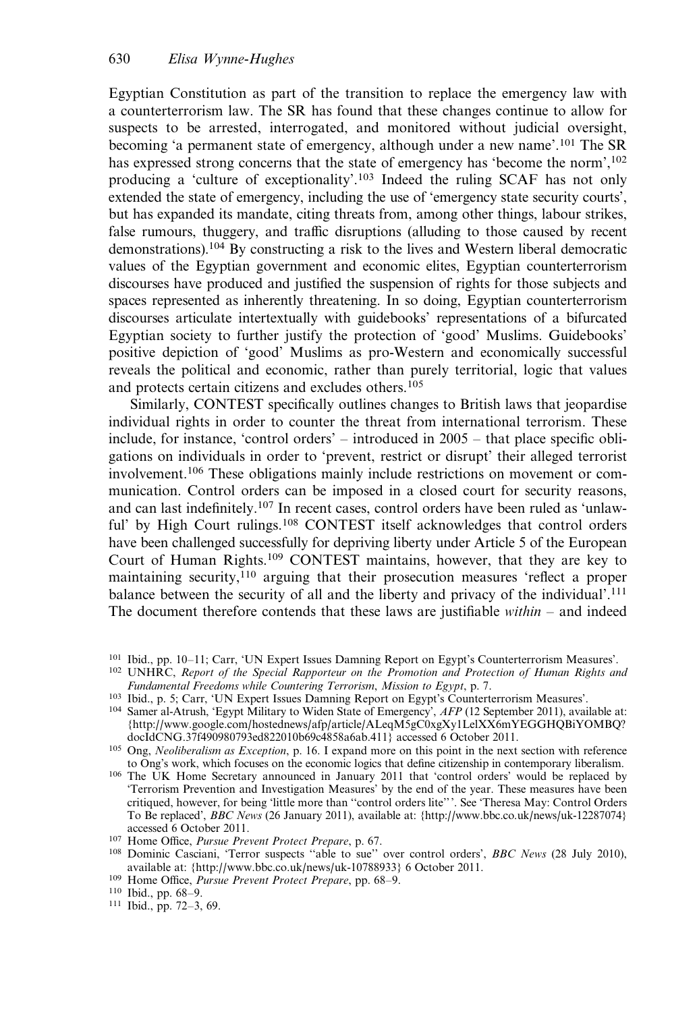Egyptian Constitution as part of the transition to replace the emergency law with a counterterrorism law. The SR has found that these changes continue to allow for suspects to be arrested, interrogated, and monitored without judicial oversight, becoming 'a permanent state of emergency, although under a new name'.<sup>101</sup> The SR has expressed strong concerns that the state of emergency has 'become the norm',<sup>102</sup> producing a 'culture of exceptionality'.<sup>103</sup> Indeed the ruling SCAF has not only extended the state of emergency, including the use of 'emergency state security courts', but has expanded its mandate, citing threats from, among other things, labour strikes, false rumours, thuggery, and traffic disruptions (alluding to those caused by recent demonstrations).<sup>104</sup> By constructing a risk to the lives and Western liberal democratic values of the Egyptian government and economic elites, Egyptian counterterrorism discourses have produced and justified the suspension of rights for those subjects and spaces represented as inherently threatening. In so doing, Egyptian counterterrorism discourses articulate intertextually with guidebooks' representations of a bifurcated Egyptian society to further justify the protection of 'good' Muslims. Guidebooks' positive depiction of 'good' Muslims as pro-Western and economically successful reveals the political and economic, rather than purely territorial, logic that values and protects certain citizens and excludes others.<sup>105</sup>

Similarly, CONTEST specifically outlines changes to British laws that jeopardise individual rights in order to counter the threat from international terrorism. These include, for instance, 'control orders' – introduced in 2005 – that place specific obligations on individuals in order to 'prevent, restrict or disrupt' their alleged terrorist involvement.<sup>106</sup> These obligations mainly include restrictions on movement or communication. Control orders can be imposed in a closed court for security reasons, and can last indefinitely.<sup>107</sup> In recent cases, control orders have been ruled as 'unlawful' by High Court rulings.<sup>108</sup> CONTEST itself acknowledges that control orders have been challenged successfully for depriving liberty under Article 5 of the European Court of Human Rights.<sup>109</sup> CONTEST maintains, however, that they are key to maintaining security,<sup>110</sup> arguing that their prosecution measures 'reflect a proper balance between the security of all and the liberty and privacy of the individual'.<sup>111</sup> The document therefore contends that these laws are justifiable  $within -$  and indeed

<sup>101</sup> Ibid., pp. 10–11; Carr, 'UN Expert Issues Damning Report on Egypt's Counterterrorism Measures'.

<sup>&</sup>lt;sup>102</sup> UNHRC, Report of the Special Rapporteur on the Promotion and Protection of Human Rights and Fundamental Freedoms while Countering Terrorism, Mission to Egypt, p. 7.

<sup>103</sup> Ibid., p. 5; Carr, 'UN Expert Issues Damning Report on Egypt's Counterterrorism Measures'.

<sup>&</sup>lt;sup>104</sup> Samer al-Atrush, 'Egypt Military to Widen State of Emergency', AFP (12 September 2011), available at: {[http://www.google.com/hostednews/afp/article/ALeqM5gC0xgXy1LelXX6mYEGGHQBiYOMBQ?](http://www.google.com/hostednews/afp/article/ALeqM5gC0xgXy1LelXX6mYEGGHQBiYOMBQ?docId=CNG.37f490980793ed822010b69c4858a6ab.411) [docIdCNG.37f490980793ed822010b69c4858a6ab.411](http://www.google.com/hostednews/afp/article/ALeqM5gC0xgXy1LelXX6mYEGGHQBiYOMBQ?docId=CNG.37f490980793ed822010b69c4858a6ab.411)} accessed 6 October 2011.

<sup>&</sup>lt;sup>105</sup> Ong, Neoliberalism as Exception, p. 16. I expand more on this point in the next section with reference to Ong's work, which focuses on the economic logics that define citizenship in contemporary liberalism.

<sup>106</sup> The UK Home Secretary announced in January 2011 that 'control orders' would be replaced by 'Terrorism Prevention and Investigation Measures' by the end of the year. These measures have been critiqued, however, for being 'little more than ''control orders lite'''. See 'Theresa May: Control Orders To Be replaced', BBC News (26 January 2011), available at: [{http://www.bbc.co.uk/news/uk-12287074](http://www.bbc.co.uk/news/uk-12287074)} accessed 6 October 2011.

<sup>107</sup> Home Office, Pursue Prevent Protect Prepare, p. 67.

<sup>&</sup>lt;sup>108</sup> Dominic Casciani, 'Terror suspects "able to sue" over control orders', *BBC News* (28 July 2010), available at: [{http://www.bbc.co.uk/news/uk-10788933](http://www.bbc.co.uk/news/uk-10788933)} 6 October 2011.

<sup>&</sup>lt;sup>109</sup> Home Office, Pursue Prevent Protect Prepare, pp. 68-9.

<sup>110</sup> Ibid., pp. 68–9.

<sup>111</sup> Ibid., pp. 72–3, 69.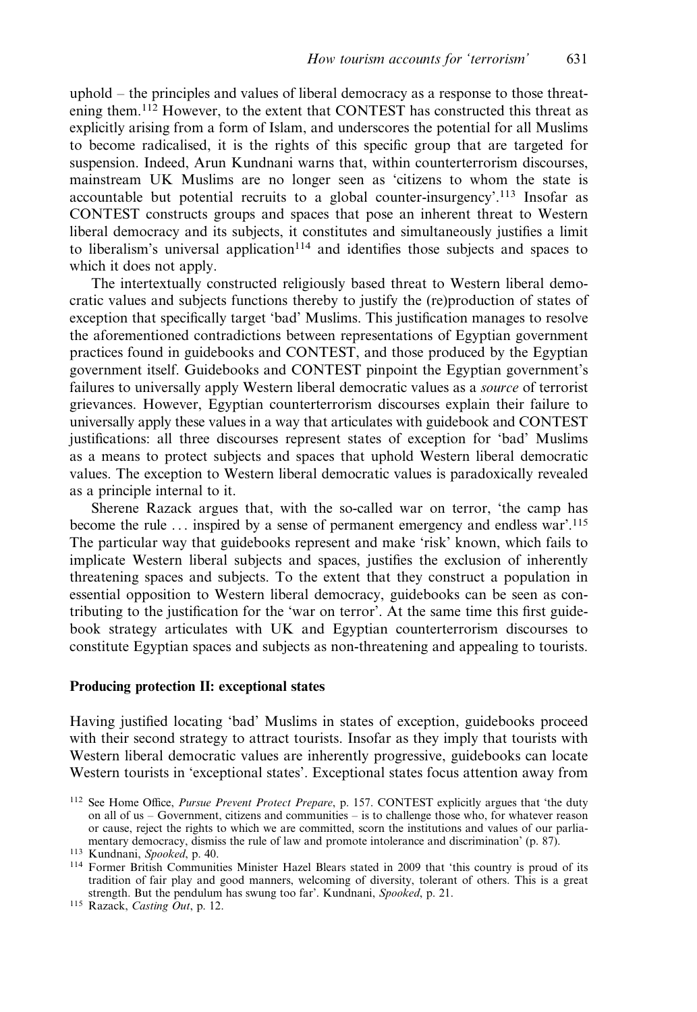uphold – the principles and values of liberal democracy as a response to those threatening them.<sup>112</sup> However, to the extent that CONTEST has constructed this threat as explicitly arising from a form of Islam, and underscores the potential for all Muslims to become radicalised, it is the rights of this specific group that are targeted for suspension. Indeed, Arun Kundnani warns that, within counterterrorism discourses, mainstream UK Muslims are no longer seen as 'citizens to whom the state is accountable but potential recruits to a global counter-insurgency'.<sup>113</sup> Insofar as CONTEST constructs groups and spaces that pose an inherent threat to Western liberal democracy and its subjects, it constitutes and simultaneously justifies a limit to liberalism's universal application $114$  and identifies those subjects and spaces to which it does not apply.

The intertextually constructed religiously based threat to Western liberal democratic values and subjects functions thereby to justify the (re)production of states of exception that specifically target 'bad' Muslims. This justification manages to resolve the aforementioned contradictions between representations of Egyptian government practices found in guidebooks and CONTEST, and those produced by the Egyptian government itself. Guidebooks and CONTEST pinpoint the Egyptian government's failures to universally apply Western liberal democratic values as a source of terrorist grievances. However, Egyptian counterterrorism discourses explain their failure to universally apply these values in a way that articulates with guidebook and CONTEST justifications: all three discourses represent states of exception for 'bad' Muslims as a means to protect subjects and spaces that uphold Western liberal democratic values. The exception to Western liberal democratic values is paradoxically revealed as a principle internal to it.

Sherene Razack argues that, with the so-called war on terror, 'the camp has become the rule ... inspired by a sense of permanent emergency and endless war'.<sup>115</sup> The particular way that guidebooks represent and make 'risk' known, which fails to implicate Western liberal subjects and spaces, justifies the exclusion of inherently threatening spaces and subjects. To the extent that they construct a population in essential opposition to Western liberal democracy, guidebooks can be seen as contributing to the justification for the 'war on terror'. At the same time this first guidebook strategy articulates with UK and Egyptian counterterrorism discourses to constitute Egyptian spaces and subjects as non-threatening and appealing to tourists.

#### Producing protection II: exceptional states

Having justified locating 'bad' Muslims in states of exception, guidebooks proceed with their second strategy to attract tourists. Insofar as they imply that tourists with Western liberal democratic values are inherently progressive, guidebooks can locate Western tourists in 'exceptional states'. Exceptional states focus attention away from

<sup>112</sup> See Home Office, Pursue Prevent Protect Prepare, p. 157. CONTEST explicitly argues that 'the duty on all of us – Government, citizens and communities – is to challenge those who, for whatever reason or cause, reject the rights to which we are committed, scorn the institutions and values of our parliamentary democracy, dismiss the rule of law and promote intolerance and discrimination' (p. 87).

<sup>113</sup> Kundnani, Spooked, p. 40.

<sup>114</sup> Former British Communities Minister Hazel Blears stated in 2009 that 'this country is proud of its tradition of fair play and good manners, welcoming of diversity, tolerant of others. This is a great strength. But the pendulum has swung too far'. Kundnani, Spooked, p. 21.

<sup>115</sup> Razack, Casting Out, p. 12.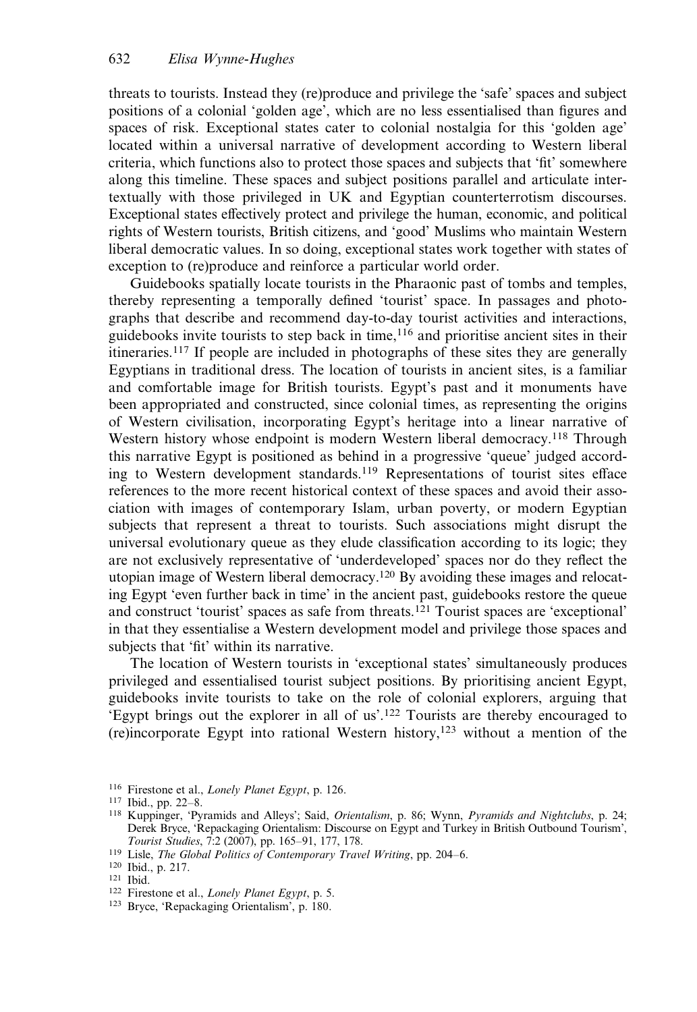threats to tourists. Instead they (re)produce and privilege the 'safe' spaces and subject positions of a colonial 'golden age', which are no less essentialised than figures and spaces of risk. Exceptional states cater to colonial nostalgia for this 'golden age' located within a universal narrative of development according to Western liberal criteria, which functions also to protect those spaces and subjects that 'fit' somewhere along this timeline. These spaces and subject positions parallel and articulate intertextually with those privileged in UK and Egyptian counterterrotism discourses. Exceptional states effectively protect and privilege the human, economic, and political rights of Western tourists, British citizens, and 'good' Muslims who maintain Western liberal democratic values. In so doing, exceptional states work together with states of exception to (re)produce and reinforce a particular world order.

Guidebooks spatially locate tourists in the Pharaonic past of tombs and temples, thereby representing a temporally defined 'tourist' space. In passages and photographs that describe and recommend day-to-day tourist activities and interactions, guidebooks invite tourists to step back in time,<sup>116</sup> and prioritise ancient sites in their itineraries.<sup>117</sup> If people are included in photographs of these sites they are generally Egyptians in traditional dress. The location of tourists in ancient sites, is a familiar and comfortable image for British tourists. Egypt's past and it monuments have been appropriated and constructed, since colonial times, as representing the origins of Western civilisation, incorporating Egypt's heritage into a linear narrative of Western history whose endpoint is modern Western liberal democracy.<sup>118</sup> Through this narrative Egypt is positioned as behind in a progressive 'queue' judged according to Western development standards.<sup>119</sup> Representations of tourist sites efface references to the more recent historical context of these spaces and avoid their association with images of contemporary Islam, urban poverty, or modern Egyptian subjects that represent a threat to tourists. Such associations might disrupt the universal evolutionary queue as they elude classification according to its logic; they are not exclusively representative of 'underdeveloped' spaces nor do they reflect the utopian image of Western liberal democracy.120 By avoiding these images and relocating Egypt 'even further back in time' in the ancient past, guidebooks restore the queue and construct 'tourist' spaces as safe from threats.<sup>121</sup> Tourist spaces are 'exceptional' in that they essentialise a Western development model and privilege those spaces and subjects that 'fit' within its narrative.

The location of Western tourists in 'exceptional states' simultaneously produces privileged and essentialised tourist subject positions. By prioritising ancient Egypt, guidebooks invite tourists to take on the role of colonial explorers, arguing that 'Egypt brings out the explorer in all of us'.<sup>122</sup> Tourists are thereby encouraged to (re)incorporate Egypt into rational Western history,123 without a mention of the

<sup>119</sup> Lisle, The Global Politics of Contemporary Travel Writing, pp. 204–6.

- <sup>122</sup> Firestone et al., Lonely Planet Egypt, p. 5.
- <sup>123</sup> Bryce, 'Repackaging Orientalism', p. 180.

<sup>116</sup> Firestone et al., Lonely Planet Egypt, p. 126.

<sup>117</sup> Ibid., pp. 22–8.

<sup>&</sup>lt;sup>118</sup> Kuppinger, 'Pyramids and Alleys'; Said, *Orientalism*, p. 86; Wynn, *Pyramids and Nightclubs*, p. 24; Derek Bryce, 'Repackaging Orientalism: Discourse on Egypt and Turkey in British Outbound Tourism', Tourist Studies, 7:2 (2007), pp. 165–91, 177, 178.

<sup>120</sup> Ibid., p. 217.

<sup>121</sup> Ibid.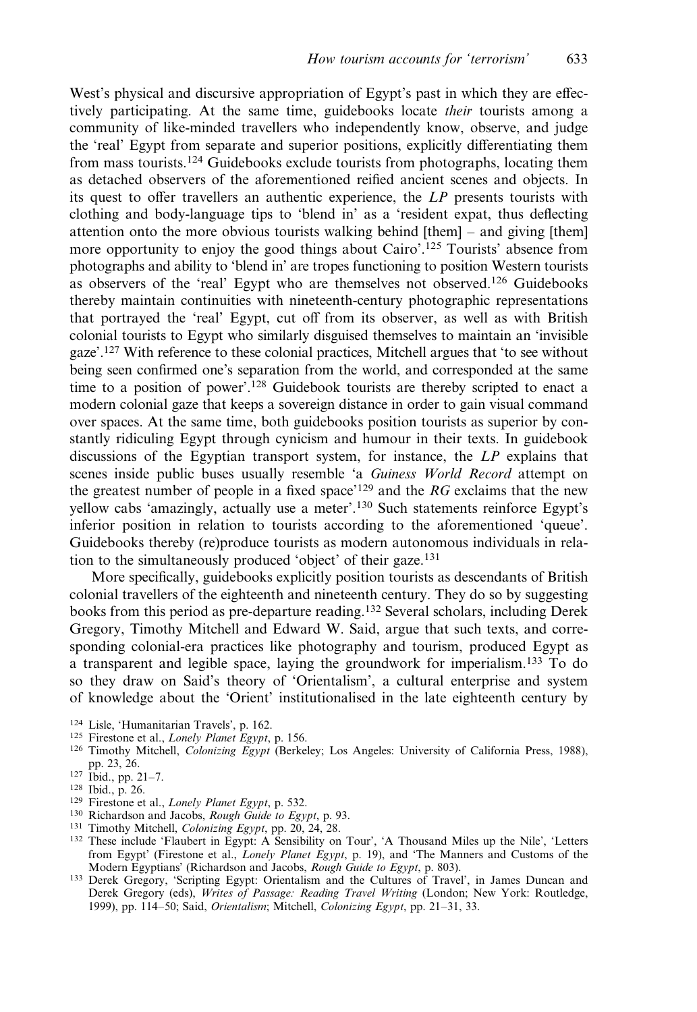West's physical and discursive appropriation of Egypt's past in which they are effectively participating. At the same time, guidebooks locate their tourists among a community of like-minded travellers who independently know, observe, and judge the 'real' Egypt from separate and superior positions, explicitly differentiating them from mass tourists.<sup>124</sup> Guidebooks exclude tourists from photographs, locating them as detached observers of the aforementioned reified ancient scenes and objects. In its quest to offer travellers an authentic experience, the LP presents tourists with clothing and body-language tips to 'blend in' as a 'resident expat, thus deflecting attention onto the more obvious tourists walking behind  $[then] -$  and giving  $[them]$ more opportunity to enjoy the good things about Cairo'.<sup>125</sup> Tourists' absence from photographs and ability to 'blend in' are tropes functioning to position Western tourists as observers of the 'real' Egypt who are themselves not observed.<sup>126</sup> Guidebooks thereby maintain continuities with nineteenth-century photographic representations that portrayed the 'real' Egypt, cut off from its observer, as well as with British colonial tourists to Egypt who similarly disguised themselves to maintain an 'invisible gaze'.127 With reference to these colonial practices, Mitchell argues that 'to see without being seen confirmed one's separation from the world, and corresponded at the same time to a position of power'.128 Guidebook tourists are thereby scripted to enact a modern colonial gaze that keeps a sovereign distance in order to gain visual command over spaces. At the same time, both guidebooks position tourists as superior by constantly ridiculing Egypt through cynicism and humour in their texts. In guidebook discussions of the Egyptian transport system, for instance, the LP explains that scenes inside public buses usually resemble 'a Guiness World Record attempt on the greatest number of people in a fixed space<sup> $129$ </sup> and the RG exclaims that the new yellow cabs 'amazingly, actually use a meter'.<sup>130</sup> Such statements reinforce Egypt's inferior position in relation to tourists according to the aforementioned 'queue'. Guidebooks thereby (re)produce tourists as modern autonomous individuals in relation to the simultaneously produced 'object' of their gaze.<sup>131</sup>

More specifically, guidebooks explicitly position tourists as descendants of British colonial travellers of the eighteenth and nineteenth century. They do so by suggesting books from this period as pre-departure reading.<sup>132</sup> Several scholars, including Derek Gregory, Timothy Mitchell and Edward W. Said, argue that such texts, and corresponding colonial-era practices like photography and tourism, produced Egypt as a transparent and legible space, laying the groundwork for imperialism.<sup>133</sup> To do so they draw on Said's theory of 'Orientalism', a cultural enterprise and system of knowledge about the 'Orient' institutionalised in the late eighteenth century by

- <sup>125</sup> Firestone et al., Lonely Planet Egypt, p. 156.
- <sup>126</sup> Timothy Mitchell, Colonizing Egypt (Berkeley; Los Angeles: University of California Press, 1988), pp. 23, 26.
- <sup>127</sup> Ibid., pp. 21–7.

- <sup>129</sup> Firestone et al., Lonely Planet Egypt, p. 532.
- <sup>130</sup> Richardson and Jacobs, Rough Guide to Egypt, p. 93.
- 131 Timothy Mitchell, *Colonizing Egypt*, pp. 20, 24, 28.
- <sup>132</sup> These include 'Flaubert in Egypt: A Sensibility on Tour', 'A Thousand Miles up the Nile', 'Letters from Egypt' (Firestone et al., Lonely Planet Egypt, p. 19), and 'The Manners and Customs of the Modern Egyptians' (Richardson and Jacobs, Rough Guide to Egypt, p. 803).
- <sup>133</sup> Derek Gregory, 'Scripting Egypt: Orientalism and the Cultures of Travel', in James Duncan and Derek Gregory (eds), Writes of Passage: Reading Travel Writing (London; New York: Routledge, 1999), pp. 114–50; Said, Orientalism; Mitchell, Colonizing Egypt, pp. 21–31, 33.

<sup>124</sup> Lisle, 'Humanitarian Travels', p. 162.

<sup>128</sup> Ibid., p. 26.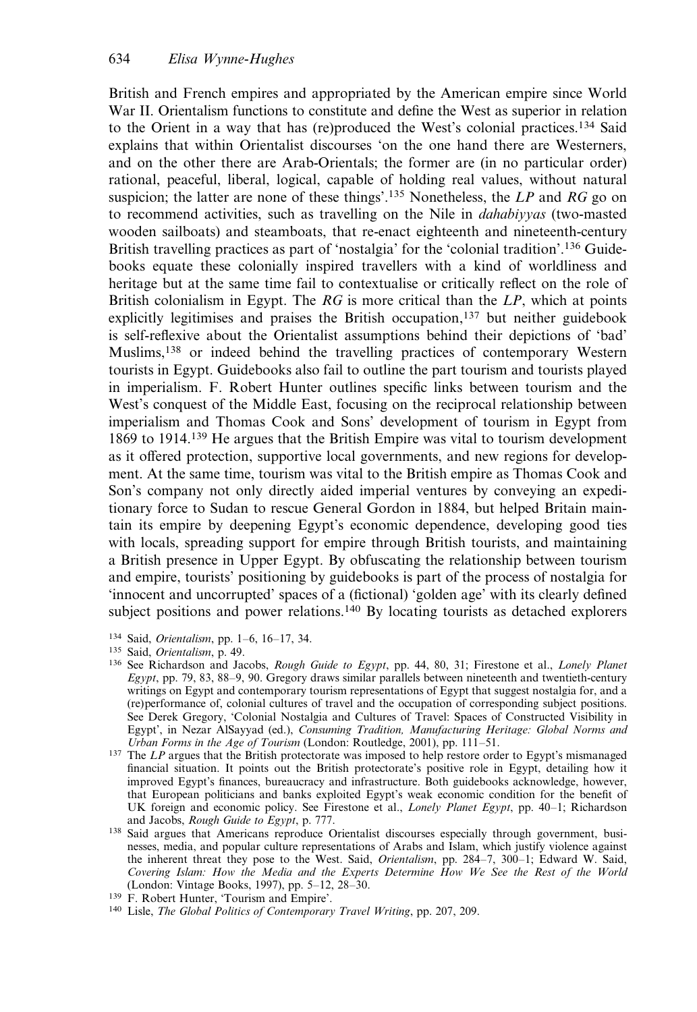British and French empires and appropriated by the American empire since World War II. Orientalism functions to constitute and define the West as superior in relation to the Orient in a way that has (re)produced the West's colonial practices.<sup>134</sup> Said explains that within Orientalist discourses 'on the one hand there are Westerners, and on the other there are Arab-Orientals; the former are (in no particular order) rational, peaceful, liberal, logical, capable of holding real values, without natural suspicion; the latter are none of these things'.<sup>135</sup> Nonetheless, the LP and RG go on to recommend activities, such as travelling on the Nile in *dahabiyyas* (two-masted wooden sailboats) and steamboats, that re-enact eighteenth and nineteenth-century British travelling practices as part of 'nostalgia' for the 'colonial tradition'.<sup>136</sup> Guidebooks equate these colonially inspired travellers with a kind of worldliness and heritage but at the same time fail to contextualise or critically reflect on the role of British colonialism in Egypt. The  $RG$  is more critical than the  $LP$ , which at points explicitly legitimises and praises the British occupation,<sup>137</sup> but neither guidebook is self-reflexive about the Orientalist assumptions behind their depictions of 'bad' Muslims,<sup>138</sup> or indeed behind the travelling practices of contemporary Western tourists in Egypt. Guidebooks also fail to outline the part tourism and tourists played in imperialism. F. Robert Hunter outlines specific links between tourism and the West's conquest of the Middle East, focusing on the reciprocal relationship between imperialism and Thomas Cook and Sons' development of tourism in Egypt from 1869 to 1914.<sup>139</sup> He argues that the British Empire was vital to tourism development as it offered protection, supportive local governments, and new regions for development. At the same time, tourism was vital to the British empire as Thomas Cook and Son's company not only directly aided imperial ventures by conveying an expeditionary force to Sudan to rescue General Gordon in 1884, but helped Britain maintain its empire by deepening Egypt's economic dependence, developing good ties with locals, spreading support for empire through British tourists, and maintaining a British presence in Upper Egypt. By obfuscating the relationship between tourism and empire, tourists' positioning by guidebooks is part of the process of nostalgia for 'innocent and uncorrupted' spaces of a (fictional) 'golden age' with its clearly defined subject positions and power relations.<sup>140</sup> By locating tourists as detached explorers

- 134 Said, *Orientalism*, pp. 1–6, 16–17, 34.
- <sup>135</sup> Said, Orientalism, p. 49.
- <sup>136</sup> See Richardson and Jacobs, *Rough Guide to Egypt*, pp. 44, 80, 31; Firestone et al., *Lonely Planet* Egypt, pp. 79, 83, 88–9, 90. Gregory draws similar parallels between nineteenth and twentieth-century writings on Egypt and contemporary tourism representations of Egypt that suggest nostalgia for, and a (re)performance of, colonial cultures of travel and the occupation of corresponding subject positions. See Derek Gregory, 'Colonial Nostalgia and Cultures of Travel: Spaces of Constructed Visibility in Egypt', in Nezar AlSayyad (ed.), Consuming Tradition, Manufacturing Heritage: Global Norms and Urban Forms in the Age of Tourism (London: Routledge, 2001), pp. 111–51.
- $137$  The LP argues that the British protectorate was imposed to help restore order to Egypt's mismanaged financial situation. It points out the British protectorate's positive role in Egypt, detailing how it improved Egypt's finances, bureaucracy and infrastructure. Both guidebooks acknowledge, however, that European politicians and banks exploited Egypt's weak economic condition for the benefit of UK foreign and economic policy. See Firestone et al., Lonely Planet Egypt, pp. 40–1; Richardson and Jacobs, Rough Guide to Egypt, p. 777.
- <sup>138</sup> Said argues that Americans reproduce Orientalist discourses especially through government, businesses, media, and popular culture representations of Arabs and Islam, which justify violence against the inherent threat they pose to the West. Said, Orientalism, pp. 284-7, 300-1; Edward W. Said, Covering Islam: How the Media and the Experts Determine How We See the Rest of the World (London: Vintage Books, 1997), pp. 5–12, 28–30.

<sup>140</sup> Lisle, The Global Politics of Contemporary Travel Writing, pp. 207, 209.

<sup>&</sup>lt;sup>139</sup> F. Robert Hunter, 'Tourism and Empire'.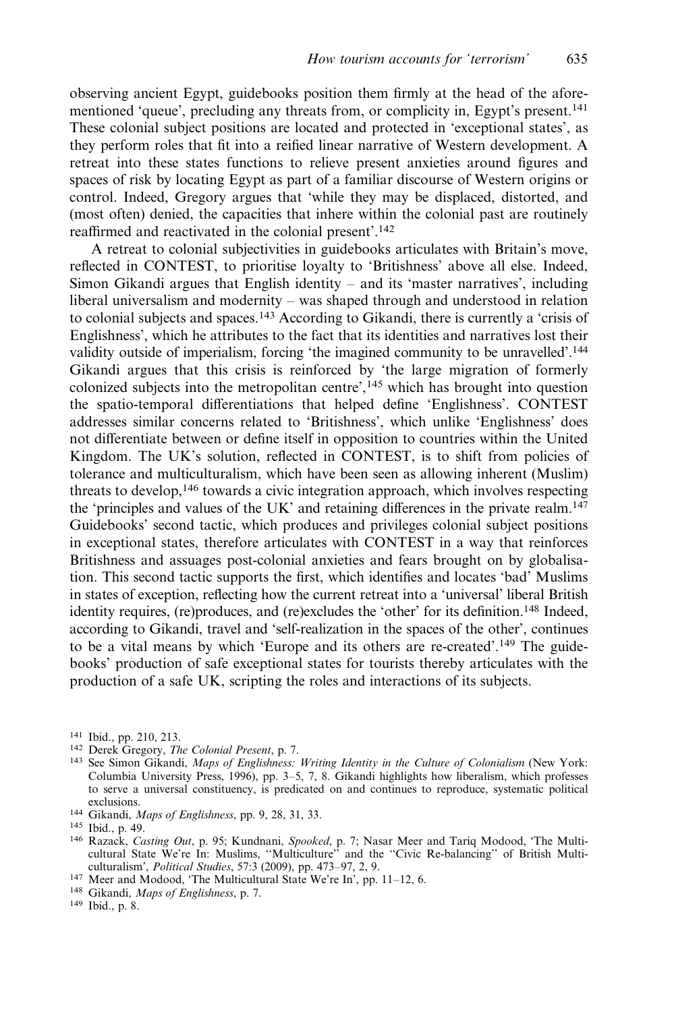observing ancient Egypt, guidebooks position them firmly at the head of the aforementioned 'queue', precluding any threats from, or complicity in, Egypt's present.141 These colonial subject positions are located and protected in 'exceptional states', as they perform roles that fit into a reified linear narrative of Western development. A retreat into these states functions to relieve present anxieties around figures and spaces of risk by locating Egypt as part of a familiar discourse of Western origins or control. Indeed, Gregory argues that 'while they may be displaced, distorted, and (most often) denied, the capacities that inhere within the colonial past are routinely reaffirmed and reactivated in the colonial present'.<sup>142</sup>

A retreat to colonial subjectivities in guidebooks articulates with Britain's move, reflected in CONTEST, to prioritise loyalty to 'Britishness' above all else. Indeed, Simon Gikandi argues that English identity – and its 'master narratives', including liberal universalism and modernity – was shaped through and understood in relation to colonial subjects and spaces.<sup>143</sup> According to Gikandi, there is currently a 'crisis of Englishness', which he attributes to the fact that its identities and narratives lost their validity outside of imperialism, forcing 'the imagined community to be unravelled'.144 Gikandi argues that this crisis is reinforced by 'the large migration of formerly colonized subjects into the metropolitan centre', $^{145}$  which has brought into question the spatio-temporal differentiations that helped define 'Englishness'. CONTEST addresses similar concerns related to 'Britishness', which unlike 'Englishness' does not differentiate between or define itself in opposition to countries within the United Kingdom. The UK's solution, reflected in CONTEST, is to shift from policies of tolerance and multiculturalism, which have been seen as allowing inherent (Muslim) threats to develop,<sup>146</sup> towards a civic integration approach, which involves respecting the 'principles and values of the UK' and retaining differences in the private realm.<sup>147</sup> Guidebooks' second tactic, which produces and privileges colonial subject positions in exceptional states, therefore articulates with CONTEST in a way that reinforces Britishness and assuages post-colonial anxieties and fears brought on by globalisation. This second tactic supports the first, which identifies and locates 'bad' Muslims in states of exception, reflecting how the current retreat into a 'universal' liberal British identity requires, (re)produces, and (re)excludes the 'other' for its definition.148 Indeed, according to Gikandi, travel and 'self-realization in the spaces of the other', continues to be a vital means by which 'Europe and its others are re-created'.<sup>149</sup> The guidebooks' production of safe exceptional states for tourists thereby articulates with the production of a safe UK, scripting the roles and interactions of its subjects.

<sup>144</sup> Gikandi, Maps of Englishness, pp. 9, 28, 31, 33.

- <sup>146</sup> Razack, Casting Out, p. 95; Kundnani, Spooked, p. 7; Nasar Meer and Tariq Modood, 'The Multicultural State We're In: Muslims, ''Multiculture'' and the ''Civic Re-balancing'' of British Multiculturalism', Political Studies, 57:3 (2009), pp. 473–97, 2, 9.
- <sup>147</sup> Meer and Modood, 'The Multicultural State We're In', pp. 11–12, 6.

<sup>141</sup> Ibid., pp. 210, 213.

<sup>142</sup> Derek Gregory, The Colonial Present, p. 7.

<sup>&</sup>lt;sup>143</sup> See Simon Gikandi, *Maps of Englishness: Writing Identity in the Culture of Colonialism* (New York: Columbia University Press, 1996), pp. 3–5, 7, 8. Gikandi highlights how liberalism, which professes to serve a universal constituency, is predicated on and continues to reproduce, systematic political exclusions.

<sup>145</sup> Ibid., p. 49.

<sup>148</sup> Gikandi, Maps of Englishness, p. 7.

<sup>149</sup> Ibid., p. 8.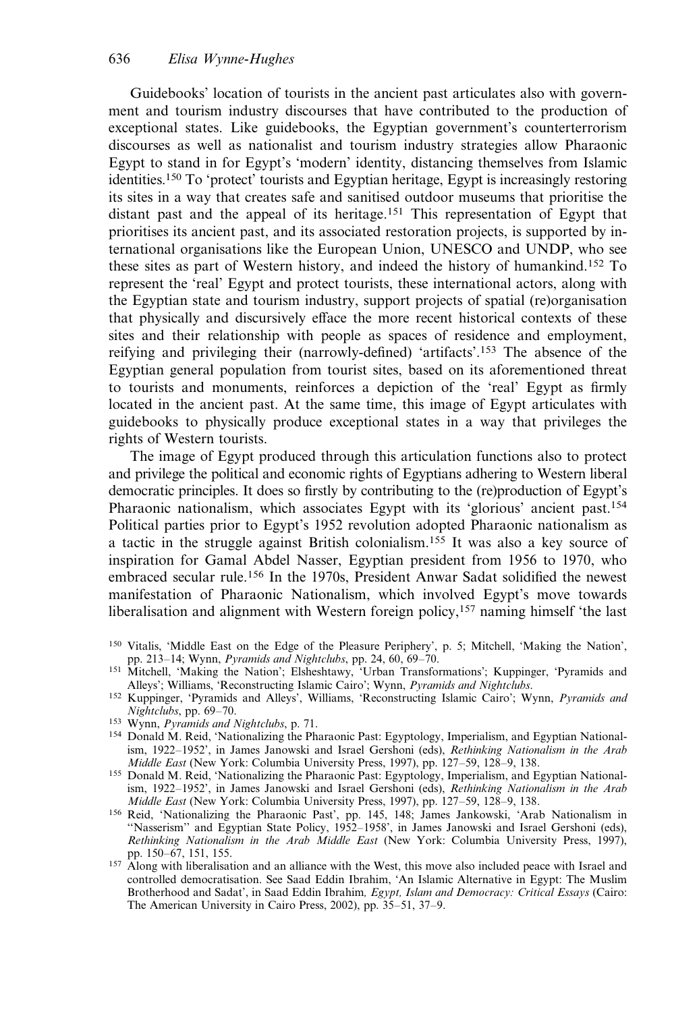Guidebooks' location of tourists in the ancient past articulates also with government and tourism industry discourses that have contributed to the production of exceptional states. Like guidebooks, the Egyptian government's counterterrorism discourses as well as nationalist and tourism industry strategies allow Pharaonic Egypt to stand in for Egypt's 'modern' identity, distancing themselves from Islamic identities.150 To 'protect' tourists and Egyptian heritage, Egypt is increasingly restoring its sites in a way that creates safe and sanitised outdoor museums that prioritise the distant past and the appeal of its heritage.<sup>151</sup> This representation of Egypt that prioritises its ancient past, and its associated restoration projects, is supported by international organisations like the European Union, UNESCO and UNDP, who see these sites as part of Western history, and indeed the history of humankind.<sup>152</sup> To represent the 'real' Egypt and protect tourists, these international actors, along with the Egyptian state and tourism industry, support projects of spatial (re)organisation that physically and discursively efface the more recent historical contexts of these sites and their relationship with people as spaces of residence and employment, reifying and privileging their (narrowly-defined) 'artifacts'.<sup>153</sup> The absence of the Egyptian general population from tourist sites, based on its aforementioned threat to tourists and monuments, reinforces a depiction of the 'real' Egypt as firmly located in the ancient past. At the same time, this image of Egypt articulates with guidebooks to physically produce exceptional states in a way that privileges the rights of Western tourists.

The image of Egypt produced through this articulation functions also to protect and privilege the political and economic rights of Egyptians adhering to Western liberal democratic principles. It does so firstly by contributing to the (re)production of Egypt's Pharaonic nationalism, which associates Egypt with its 'glorious' ancient past.<sup>154</sup> Political parties prior to Egypt's 1952 revolution adopted Pharaonic nationalism as a tactic in the struggle against British colonialism.<sup>155</sup> It was also a key source of inspiration for Gamal Abdel Nasser, Egyptian president from 1956 to 1970, who embraced secular rule.<sup>156</sup> In the 1970s, President Anwar Sadat solidified the newest manifestation of Pharaonic Nationalism, which involved Egypt's move towards liberalisation and alignment with Western foreign policy,<sup>157</sup> naming himself 'the last

- <sup>150</sup> Vitalis, 'Middle East on the Edge of the Pleasure Periphery', p. 5; Mitchell, 'Making the Nation', pp. 213–14; Wynn, Pyramids and Nightclubs, pp. 24, 60, 69–70.
- <sup>151</sup> Mitchell, 'Making the Nation'; Elsheshtawy, 'Urban Transformations'; Kuppinger, 'Pyramids and Alleys'; Williams, 'Reconstructing Islamic Cairo'; Wynn, Pyramids and Nightclubs.
- <sup>152</sup> Kuppinger, 'Pyramids and Alleys', Williams, 'Reconstructing Islamic Cairo'; Wynn, Pyramids and Nightclubs, pp. 69–70.
- <sup>153</sup> Wynn, *Pyramids and Nightclubs*, p. 71.
- <sup>154</sup> Donald M. Reid, 'Nationalizing the Pharaonic Past: Egyptology, Imperialism, and Egyptian Nationalism, 1922-1952', in James Janowski and Israel Gershoni (eds), Rethinking Nationalism in the Arab Middle East (New York: Columbia University Press, 1997), pp. 127–59, 128–9, 138.
- 155 Donald M. Reid, 'Nationalizing the Pharaonic Past: Egyptology, Imperialism, and Egyptian Nationalism, 1922–1952', in James Janowski and Israel Gershoni (eds), Rethinking Nationalism in the Arab Middle East (New York: Columbia University Press, 1997), pp. 127–59, 128–9, 138.
- <sup>156</sup> Reid, 'Nationalizing the Pharaonic Past', pp. 145, 148; James Jankowski, 'Arab Nationalism in ''Nasserism'' and Egyptian State Policy, 1952–1958', in James Janowski and Israel Gershoni (eds), Rethinking Nationalism in the Arab Middle East (New York: Columbia University Press, 1997), pp. 150–67, 151, 155.
- <sup>157</sup> Along with liberalisation and an alliance with the West, this move also included peace with Israel and controlled democratisation. See Saad Eddin Ibrahim, 'An Islamic Alternative in Egypt: The Muslim Brotherhood and Sadat', in Saad Eddin Ibrahim, Egypt, Islam and Democracy: Critical Essays (Cairo: The American University in Cairo Press, 2002), pp. 35–51, 37–9.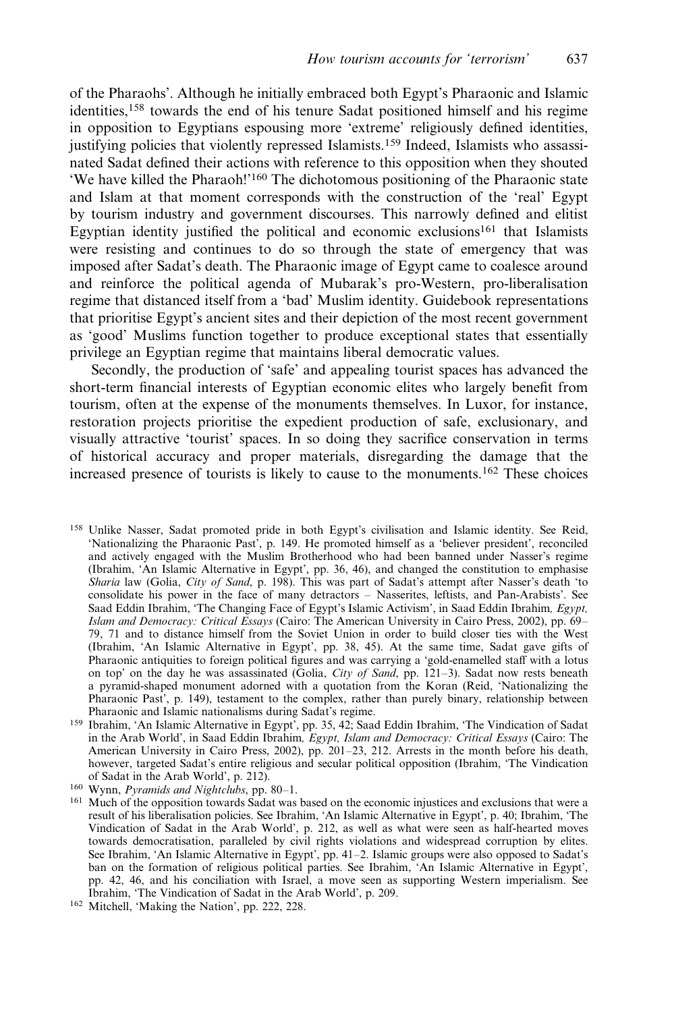of the Pharaohs'. Although he initially embraced both Egypt's Pharaonic and Islamic identities,<sup>158</sup> towards the end of his tenure Sadat positioned himself and his regime in opposition to Egyptians espousing more 'extreme' religiously defined identities, justifying policies that violently repressed Islamists.<sup>159</sup> Indeed, Islamists who assassinated Sadat defined their actions with reference to this opposition when they shouted 'We have killed the Pharaoh!'<sup>160</sup> The dichotomous positioning of the Pharaonic state and Islam at that moment corresponds with the construction of the 'real' Egypt by tourism industry and government discourses. This narrowly defined and elitist Egyptian identity justified the political and economic exclusions<sup>161</sup> that Islamists were resisting and continues to do so through the state of emergency that was imposed after Sadat's death. The Pharaonic image of Egypt came to coalesce around and reinforce the political agenda of Mubarak's pro-Western, pro-liberalisation regime that distanced itself from a 'bad' Muslim identity. Guidebook representations that prioritise Egypt's ancient sites and their depiction of the most recent government as 'good' Muslims function together to produce exceptional states that essentially privilege an Egyptian regime that maintains liberal democratic values.

Secondly, the production of 'safe' and appealing tourist spaces has advanced the short-term financial interests of Egyptian economic elites who largely benefit from tourism, often at the expense of the monuments themselves. In Luxor, for instance, restoration projects prioritise the expedient production of safe, exclusionary, and visually attractive 'tourist' spaces. In so doing they sacrifice conservation in terms of historical accuracy and proper materials, disregarding the damage that the increased presence of tourists is likely to cause to the monuments.<sup>162</sup> These choices

<sup>158</sup> Unlike Nasser, Sadat promoted pride in both Egypt's civilisation and Islamic identity. See Reid, 'Nationalizing the Pharaonic Past', p. 149. He promoted himself as a 'believer president', reconciled and actively engaged with the Muslim Brotherhood who had been banned under Nasser's regime (Ibrahim, 'An Islamic Alternative in Egypt', pp. 36, 46), and changed the constitution to emphasise Sharia law (Golia, City of Sand, p. 198). This was part of Sadat's attempt after Nasser's death 'to consolidate his power in the face of many detractors – Nasserites, leftists, and Pan-Arabists'. See Saad Eddin Ibrahim, 'The Changing Face of Egypt's Islamic Activism', in Saad Eddin Ibrahim, Egypt, Islam and Democracy: Critical Essays (Cairo: The American University in Cairo Press, 2002), pp. 69– 79, 71 and to distance himself from the Soviet Union in order to build closer ties with the West (Ibrahim, 'An Islamic Alternative in Egypt', pp. 38, 45). At the same time, Sadat gave gifts of Pharaonic antiquities to foreign political figures and was carrying a 'gold-enamelled staff with a lotus on top' on the day he was assassinated (Golia, City of Sand, pp. 121-3). Sadat now rests beneath a pyramid-shaped monument adorned with a quotation from the Koran (Reid, 'Nationalizing the Pharaonic Past', p. 149), testament to the complex, rather than purely binary, relationship between Pharaonic and Islamic nationalisms during Sadat's regime.

<sup>160</sup> Wynn, Pyramids and Nightclubs, pp. 80–1.

<sup>159</sup> Ibrahim, 'An Islamic Alternative in Egypt', pp. 35, 42; Saad Eddin Ibrahim, 'The Vindication of Sadat in the Arab World', in Saad Eddin Ibrahim, Egypt, Islam and Democracy: Critical Essays (Cairo: The American University in Cairo Press, 2002), pp. 201–23, 212. Arrests in the month before his death, however, targeted Sadat's entire religious and secular political opposition (Ibrahim, 'The Vindication of Sadat in the Arab World', p. 212).

<sup>&</sup>lt;sup>161</sup> Much of the opposition towards Sadat was based on the economic injustices and exclusions that were a result of his liberalisation policies. See Ibrahim, 'An Islamic Alternative in Egypt', p. 40; Ibrahim, 'The Vindication of Sadat in the Arab World', p. 212, as well as what were seen as half-hearted moves towards democratisation, paralleled by civil rights violations and widespread corruption by elites. See Ibrahim, 'An Islamic Alternative in Egypt', pp. 41–2. Islamic groups were also opposed to Sadat's ban on the formation of religious political parties. See Ibrahim, 'An Islamic Alternative in Egypt', pp. 42, 46, and his conciliation with Israel, a move seen as supporting Western imperialism. See Ibrahim, 'The Vindication of Sadat in the Arab World', p. 209.

<sup>162</sup> Mitchell, 'Making the Nation', pp. 222, 228.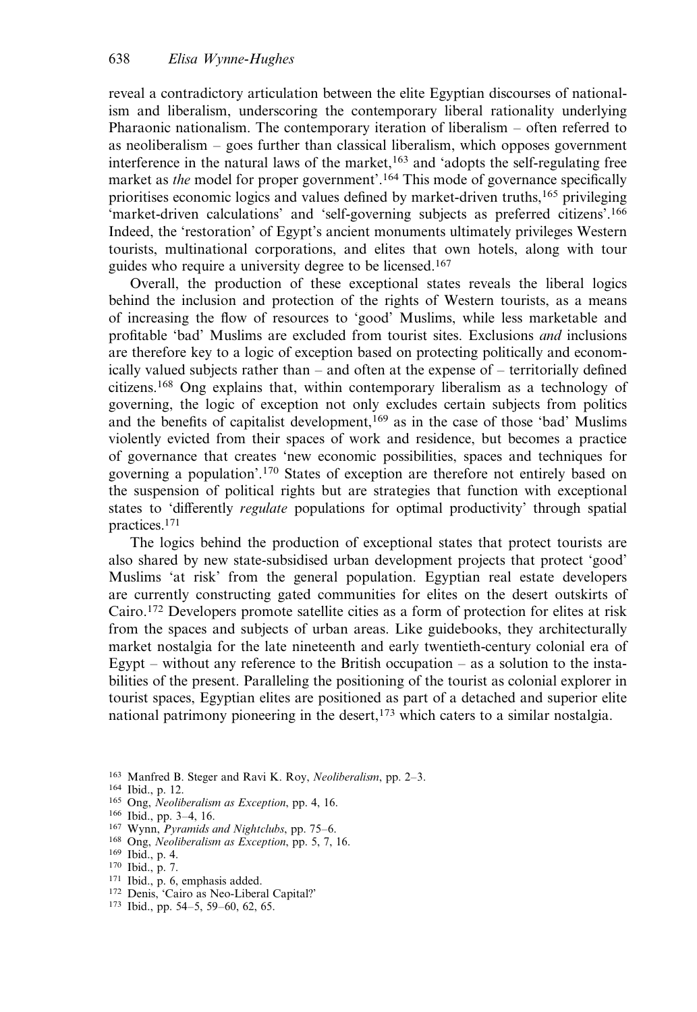reveal a contradictory articulation between the elite Egyptian discourses of nationalism and liberalism, underscoring the contemporary liberal rationality underlying Pharaonic nationalism. The contemporary iteration of liberalism – often referred to as neoliberalism – goes further than classical liberalism, which opposes government interference in the natural laws of the market, $163$  and 'adopts the self-regulating free market as *the* model for proper government'.<sup>164</sup> This mode of governance specifically prioritises economic logics and values defined by market-driven truths,<sup>165</sup> privileging 'market-driven calculations' and 'self-governing subjects as preferred citizens'.<sup>166</sup> Indeed, the 'restoration' of Egypt's ancient monuments ultimately privileges Western tourists, multinational corporations, and elites that own hotels, along with tour guides who require a university degree to be licensed.<sup>167</sup>

Overall, the production of these exceptional states reveals the liberal logics behind the inclusion and protection of the rights of Western tourists, as a means of increasing the flow of resources to 'good' Muslims, while less marketable and profitable 'bad' Muslims are excluded from tourist sites. Exclusions and inclusions are therefore key to a logic of exception based on protecting politically and economically valued subjects rather than – and often at the expense of – territorially defined citizens.168 Ong explains that, within contemporary liberalism as a technology of governing, the logic of exception not only excludes certain subjects from politics and the benefits of capitalist development,<sup>169</sup> as in the case of those 'bad' Muslims violently evicted from their spaces of work and residence, but becomes a practice of governance that creates 'new economic possibilities, spaces and techniques for governing a population'.<sup>170</sup> States of exception are therefore not entirely based on the suspension of political rights but are strategies that function with exceptional states to 'differently regulate populations for optimal productivity' through spatial practices.171

The logics behind the production of exceptional states that protect tourists are also shared by new state-subsidised urban development projects that protect 'good' Muslims 'at risk' from the general population. Egyptian real estate developers are currently constructing gated communities for elites on the desert outskirts of Cairo.172 Developers promote satellite cities as a form of protection for elites at risk from the spaces and subjects of urban areas. Like guidebooks, they architecturally market nostalgia for the late nineteenth and early twentieth-century colonial era of Egypt – without any reference to the British occupation – as a solution to the instabilities of the present. Paralleling the positioning of the tourist as colonial explorer in tourist spaces, Egyptian elites are positioned as part of a detached and superior elite national patrimony pioneering in the desert,<sup>173</sup> which caters to a similar nostalgia.

- <sup>163</sup> Manfred B. Steger and Ravi K. Roy, Neoliberalism, pp. 2–3.
- <sup>164</sup> Ibid., p. 12.
- 165 Ong, Neoliberalism as Exception, pp. 4, 16.
- <sup>166</sup> Ibid., pp. 3–4, 16.
- 167 Wynn, Pyramids and Nightclubs, pp. 75-6.
- <sup>168</sup> Ong, Neoliberalism as Exception, pp. 5, 7, 16.
- <sup>169</sup> Ibid., p. 4.
- <sup>170</sup> Ibid., p. 7.
- <sup>171</sup> Ibid., p. 6, emphasis added.
- <sup>172</sup> Denis, 'Cairo as Neo-Liberal Capital?'
- <sup>173</sup> Ibid., pp. 54–5, 59–60, 62, 65.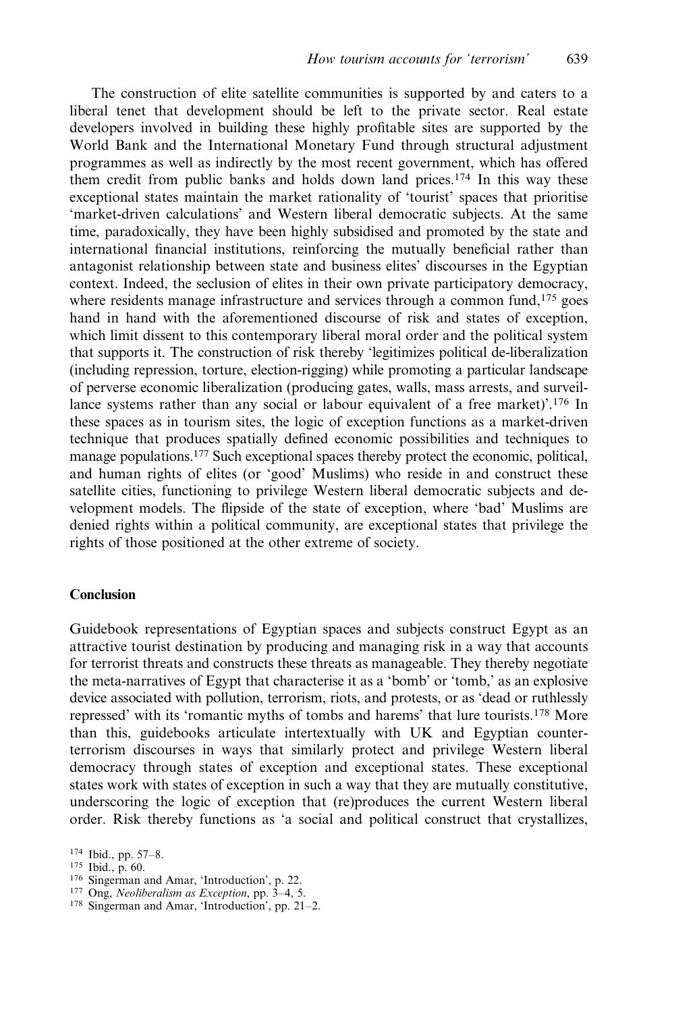The construction of elite satellite communities is supported by and caters to a liberal tenet that development should be left to the private sector. Real estate developers involved in building these highly profitable sites are supported by the World Bank and the International Monetary Fund through structural adjustment programmes as well as indirectly by the most recent government, which has offered them credit from public banks and holds down land prices.<sup>174</sup> In this way these exceptional states maintain the market rationality of 'tourist' spaces that prioritise 'market-driven calculations' and Western liberal democratic subjects. At the same time, paradoxically, they have been highly subsidised and promoted by the state and international financial institutions, reinforcing the mutually beneficial rather than antagonist relationship between state and business elites' discourses in the Egyptian context. Indeed, the seclusion of elites in their own private participatory democracy, where residents manage infrastructure and services through a common fund, $175$  goes hand in hand with the aforementioned discourse of risk and states of exception, which limit dissent to this contemporary liberal moral order and the political system that supports it. The construction of risk thereby 'legitimizes political de-liberalization (including repression, torture, election-rigging) while promoting a particular landscape of perverse economic liberalization (producing gates, walls, mass arrests, and surveillance systems rather than any social or labour equivalent of a free market)'.<sup>176</sup> In these spaces as in tourism sites, the logic of exception functions as a market-driven technique that produces spatially defined economic possibilities and techniques to manage populations.<sup>177</sup> Such exceptional spaces thereby protect the economic, political, and human rights of elites (or 'good' Muslims) who reside in and construct these satellite cities, functioning to privilege Western liberal democratic subjects and development models. The flipside of the state of exception, where 'bad' Muslims are denied rights within a political community, are exceptional states that privilege the rights of those positioned at the other extreme of society.

## Conclusion

Guidebook representations of Egyptian spaces and subjects construct Egypt as an attractive tourist destination by producing and managing risk in a way that accounts for terrorist threats and constructs these threats as manageable. They thereby negotiate the meta-narratives of Egypt that characterise it as a 'bomb' or 'tomb,' as an explosive device associated with pollution, terrorism, riots, and protests, or as 'dead or ruthlessly repressed' with its 'romantic myths of tombs and harems' that lure tourists.<sup>178</sup> More than this, guidebooks articulate intertextually with UK and Egyptian counterterrorism discourses in ways that similarly protect and privilege Western liberal democracy through states of exception and exceptional states. These exceptional states work with states of exception in such a way that they are mutually constitutive, underscoring the logic of exception that (re)produces the current Western liberal order. Risk thereby functions as 'a social and political construct that crystallizes,

- <sup>176</sup> Singerman and Amar, 'Introduction', p. 22.
- <sup>177</sup> Ong, Neoliberalism as Exception, pp. 3–4, 5.
- <sup>178</sup> Singerman and Amar, 'Introduction', pp. 21–2.

<sup>174</sup> Ibid., pp. 57–8.

<sup>175</sup> Ibid., p. 60.